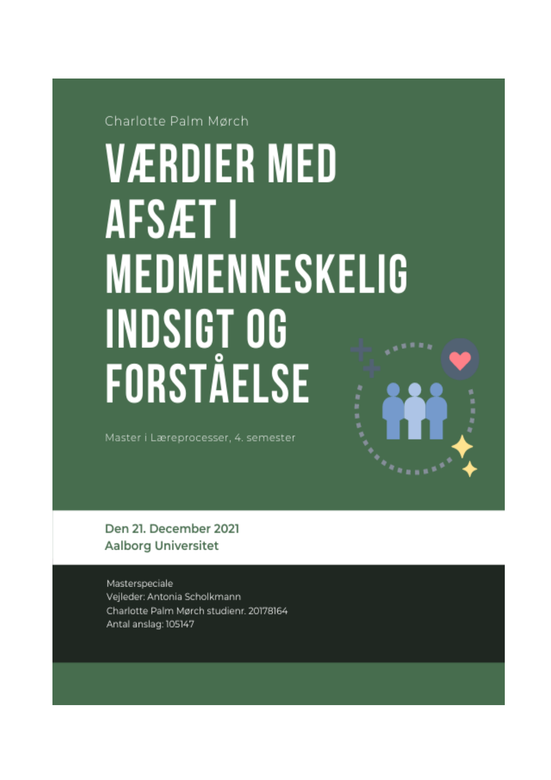Charlotte Palm Mørch

# **VÆRDIER MED AFSÆT I MEDMENNESKELIG INDSIGT OG** FORSTÅELSE

Master i Læreprocesser, 4. semester

Den 21. December 2021 **Aalborg Universitet** 

Masterspeciale Vejleder: Antonia Scholkmann Charlotte Palm Mørch studienr. 20178164 Antal anslag: 105147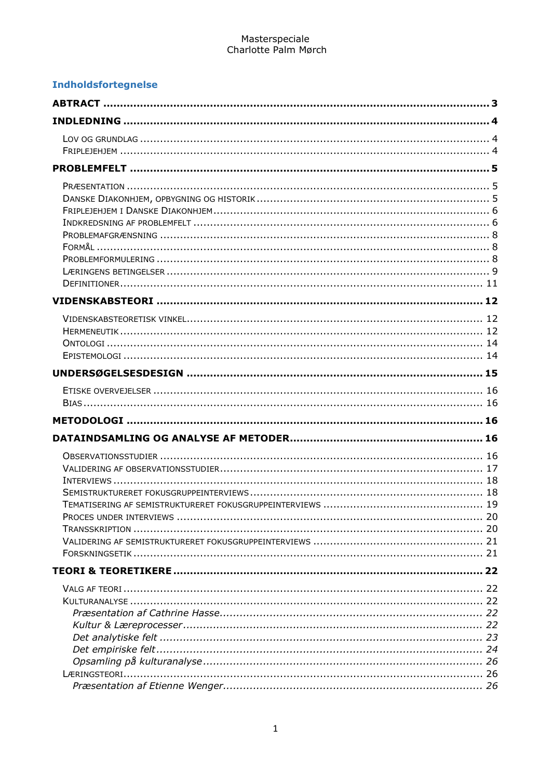## **Indholdsfortegnelse**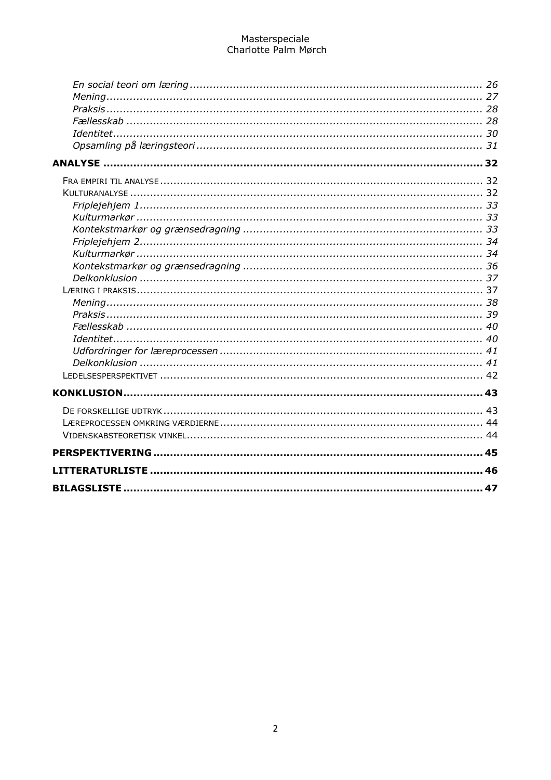| 43 |
|----|
|    |
| 45 |
|    |
| 47 |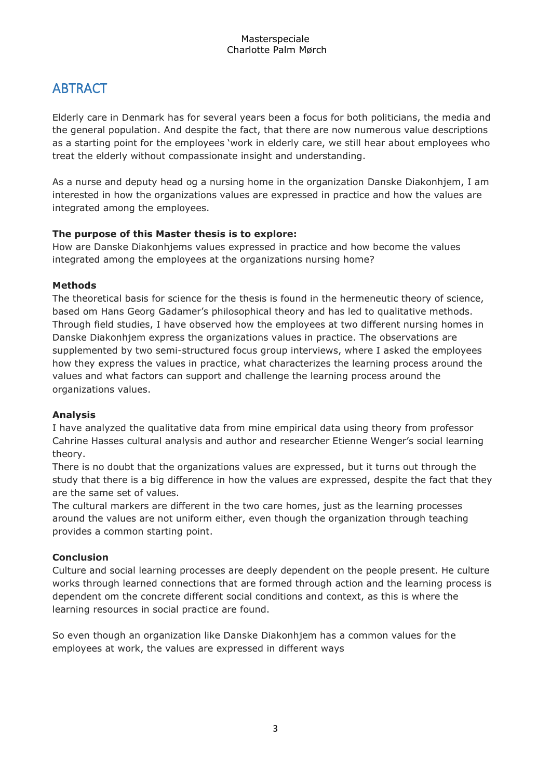## <span id="page-3-0"></span>ABTRACT

Elderly care in Denmark has for several years been a focus for both politicians, the media and the general population. And despite the fact, that there are now numerous value descriptions as a starting point for the employees 'work in elderly care, we still hear about employees who treat the elderly without compassionate insight and understanding.

As a nurse and deputy head og a nursing home in the organization Danske Diakonhjem, I am interested in how the organizations values are expressed in practice and how the values are integrated among the employees.

#### **The purpose of this Master thesis is to explore:**

How are Danske Diakonhjems values expressed in practice and how become the values integrated among the employees at the organizations nursing home?

#### **Methods**

The theoretical basis for science for the thesis is found in the hermeneutic theory of science, based om Hans Georg Gadamer's philosophical theory and has led to qualitative methods. Through field studies, I have observed how the employees at two different nursing homes in Danske Diakonhjem express the organizations values in practice. The observations are supplemented by two semi-structured focus group interviews, where I asked the employees how they express the values in practice, what characterizes the learning process around the values and what factors can support and challenge the learning process around the organizations values.

#### **Analysis**

I have analyzed the qualitative data from mine empirical data using theory from professor Cahrine Hasses cultural analysis and author and researcher Etienne Wenger's social learning theory.

There is no doubt that the organizations values are expressed, but it turns out through the study that there is a big difference in how the values are expressed, despite the fact that they are the same set of values.

The cultural markers are different in the two care homes, just as the learning processes around the values are not uniform either, even though the organization through teaching provides a common starting point.

#### **Conclusion**

Culture and social learning processes are deeply dependent on the people present. He culture works through learned connections that are formed through action and the learning process is dependent om the concrete different social conditions and context, as this is where the learning resources in social practice are found.

So even though an organization like Danske Diakonhjem has a common values for the employees at work, the values are expressed in different ways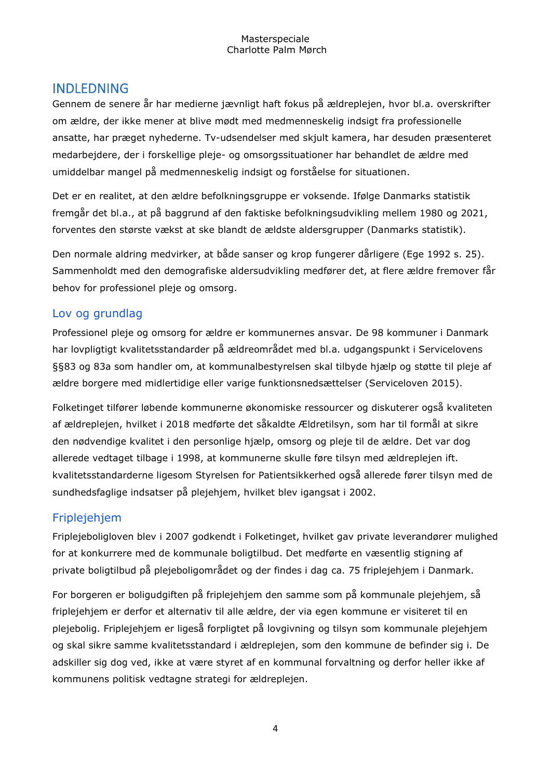## <span id="page-4-0"></span>INDLEDNING

Gennem de senere år har medierne jævnligt haft fokus på ældreplejen, hvor bl.a. overskrifter om ældre, der ikke mener at blive mødt med medmenneskelig indsigt fra professionelle ansatte, har præget nyhederne. Tv-udsendelser med skjult kamera, har desuden præsenteret medarbejdere, der i forskellige pleje- og omsorgssituationer har behandlet de ældre med umiddelbar mangel på medmenneskelig indsigt og forståelse for situationen.

Det er en realitet, at den ældre befolkningsgruppe er voksende. Ifølge Danmarks statistik fremgår det bl.a., at på baggrund af den faktiske befolkningsudvikling mellem 1980 og 2021, forventes den største vækst at ske blandt de ældste aldersgrupper (Danmarks statistik).

Den normale aldring medvirker, at både sanser og krop fungerer dårligere (Ege 1992 s. 25). Sammenholdt med den demografiske aldersudvikling medfører det, at flere ældre fremover får behov for professionel pleje og omsorg.

## <span id="page-4-1"></span>Lov og grundlag

Professionel pleje og omsorg for ældre er kommunernes ansvar. De 98 kommuner i Danmark har lovpligtigt kvalitetsstandarder på ældreområdet med bl.a. udgangspunkt i Servicelovens §§83 og 83a som handler om, at kommunalbestyrelsen skal tilbyde hjælp og støtte til pleje af ældre borgere med midlertidige eller varige funktionsnedsættelser (Serviceloven 2015).

Folketinget tilfører løbende kommunerne økonomiske ressourcer og diskuterer også kvaliteten af ældreplejen, hvilket i 2018 medførte det såkaldte Ældretilsyn, som har til formål at sikre den nødvendige kvalitet i den personlige hjælp, omsorg og pleje til de ældre. Det var dog allerede vedtaget tilbage i 1998, at kommunerne skulle føre tilsyn med ældreplejen ift. kvalitetsstandarderne ligesom Styrelsen for Patientsikkerhed også allerede fører tilsyn med de sundhedsfaglige indsatser på plejehjem, hvilket blev igangsat i 2002.

## <span id="page-4-2"></span>Friplejehjem

Friplejeboligloven blev i 2007 godkendt i Folketinget, hvilket gav private leverandører mulighed for at konkurrere med de kommunale boligtilbud. Det medførte en væsentlig stigning af private boligtilbud på plejeboligområdet og der findes i dag ca. 75 friplejehjem i Danmark.

For borgeren er boligudgiften på friplejehjem den samme som på kommunale plejehjem, så friplejehjem er derfor et alternativ til alle ældre, der via egen kommune er visiteret til en plejebolig. Friplejehjem er ligeså forpligtet på lovgivning og tilsyn som kommunale plejehjem og skal sikre samme kvalitetsstandard i ældreplejen, som den kommune de befinder sig i. De adskiller sig dog ved, ikke at være styret af en kommunal forvaltning og derfor heller ikke af kommunens politisk vedtagne strategi for ældreplejen.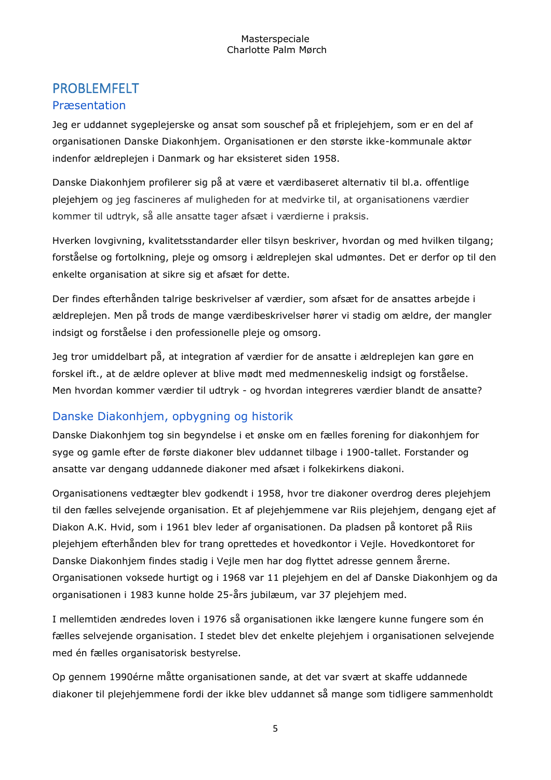## <span id="page-5-0"></span>PROBLEMFELT

## <span id="page-5-1"></span>Præsentation

Jeg er uddannet sygeplejerske og ansat som souschef på et friplejehjem, som er en del af organisationen Danske Diakonhjem. Organisationen er den største ikke-kommunale aktør indenfor ældreplejen i Danmark og har eksisteret siden 1958.

Danske Diakonhjem profilerer sig på at være et værdibaseret alternativ til bl.a. offentlige plejehjem og jeg fascineres af muligheden for at medvirke til, at organisationens værdier kommer til udtryk, så alle ansatte tager afsæt i værdierne i praksis.

Hverken lovgivning, kvalitetsstandarder eller tilsyn beskriver, hvordan og med hvilken tilgang; forståelse og fortolkning, pleje og omsorg i ældreplejen skal udmøntes. Det er derfor op til den enkelte organisation at sikre sig et afsæt for dette.

Der findes efterhånden talrige beskrivelser af værdier, som afsæt for de ansattes arbejde i ældreplejen. Men på trods de mange værdibeskrivelser hører vi stadig om ældre, der mangler indsigt og forståelse i den professionelle pleje og omsorg.

Jeg tror umiddelbart på, at integration af værdier for de ansatte i ældreplejen kan gøre en forskel ift., at de ældre oplever at blive mødt med medmenneskelig indsigt og forståelse. Men hvordan kommer værdier til udtryk - og hvordan integreres værdier blandt de ansatte?

## <span id="page-5-2"></span>Danske Diakonhjem, opbygning og historik

Danske Diakonhjem tog sin begyndelse i et ønske om en fælles forening for diakonhjem for syge og gamle efter de første diakoner blev uddannet tilbage i 1900-tallet. Forstander og ansatte var dengang uddannede diakoner med afsæt i folkekirkens diakoni.

Organisationens vedtægter blev godkendt i 1958, hvor tre diakoner overdrog deres plejehjem til den fælles selvejende organisation. Et af plejehjemmene var Riis plejehjem, dengang ejet af Diakon A.K. Hvid, som i 1961 blev leder af organisationen. Da pladsen på kontoret på Riis plejehjem efterhånden blev for trang oprettedes et hovedkontor i Vejle. Hovedkontoret for Danske Diakonhjem findes stadig i Vejle men har dog flyttet adresse gennem årerne. Organisationen voksede hurtigt og i 1968 var 11 plejehjem en del af Danske Diakonhjem og da organisationen i 1983 kunne holde 25-års jubilæum, var 37 plejehjem med.

I mellemtiden ændredes loven i 1976 så organisationen ikke længere kunne fungere som én fælles selvejende organisation. I stedet blev det enkelte plejehjem i organisationen selvejende med én fælles organisatorisk bestyrelse.

Op gennem 1990érne måtte organisationen sande, at det var svært at skaffe uddannede diakoner til plejehjemmene fordi der ikke blev uddannet så mange som tidligere sammenholdt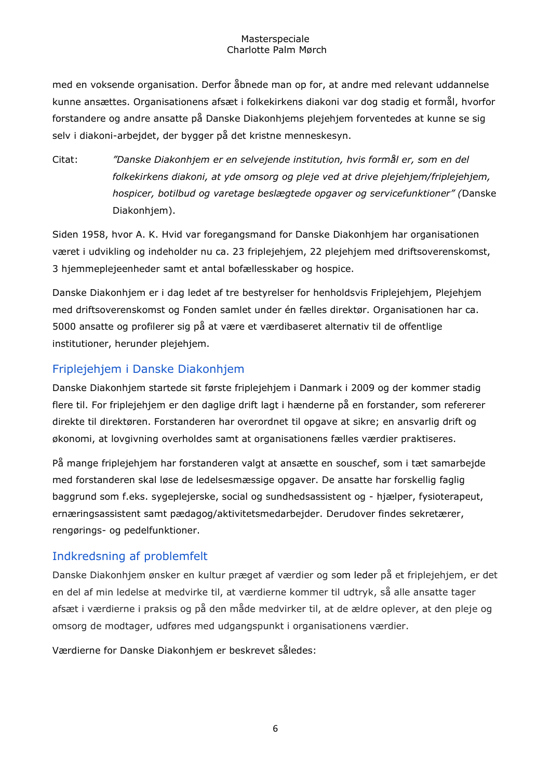med en voksende organisation. Derfor åbnede man op for, at andre med relevant uddannelse kunne ansættes. Organisationens afsæt i folkekirkens diakoni var dog stadig et formål, hvorfor forstandere og andre ansatte på Danske Diakonhjems plejehjem forventedes at kunne se sig selv i diakoni-arbejdet, der bygger på det kristne menneskesyn.

Citat: *"Danske Diakonhjem er en selvejende institution, hvis formål er, som en del folkekirkens diakoni, at yde omsorg og pleje ved at drive plejehjem/friplejehjem, hospicer, botilbud og varetage beslægtede opgaver og servicefunktioner" (*Danske Diakonhjem).

Siden 1958, hvor A. K. Hvid var foregangsmand for Danske Diakonhjem har organisationen været i udvikling og indeholder nu ca. 23 friplejehjem, 22 plejehjem med driftsoverenskomst, 3 hjemmeplejeenheder samt et antal bofællesskaber og hospice.

Danske Diakonhjem er i dag ledet af tre bestyrelser for henholdsvis Friplejehjem, Plejehjem med driftsoverenskomst og Fonden samlet under én fælles direktør. Organisationen har ca. 5000 ansatte og profilerer sig på at være et værdibaseret alternativ til de offentlige institutioner, herunder plejehjem.

## <span id="page-6-0"></span>Friplejehjem i Danske Diakonhjem

Danske Diakonhjem startede sit første friplejehjem i Danmark i 2009 og der kommer stadig flere til. For friplejehjem er den daglige drift lagt i hænderne på en forstander, som refererer direkte til direktøren. Forstanderen har overordnet til opgave at sikre; en ansvarlig drift og økonomi, at lovgivning overholdes samt at organisationens fælles værdier praktiseres.

På mange friplejehjem har forstanderen valgt at ansætte en souschef, som i tæt samarbejde med forstanderen skal løse de ledelsesmæssige opgaver. De ansatte har forskellig faglig baggrund som f.eks. sygeplejerske, social og sundhedsassistent og - hjælper, fysioterapeut, ernæringsassistent samt pædagog/aktivitetsmedarbejder. Derudover findes sekretærer, rengørings- og pedelfunktioner.

## <span id="page-6-1"></span>Indkredsning af problemfelt

Danske Diakonhjem ønsker en kultur præget af værdier og som leder på et friplejehjem, er det en del af min ledelse at medvirke til, at værdierne kommer til udtryk, så alle ansatte tager afsæt i værdierne i praksis og på den måde medvirker til, at de ældre oplever, at den pleje og omsorg de modtager, udføres med udgangspunkt i organisationens værdier.

Værdierne for Danske Diakonhjem er beskrevet således: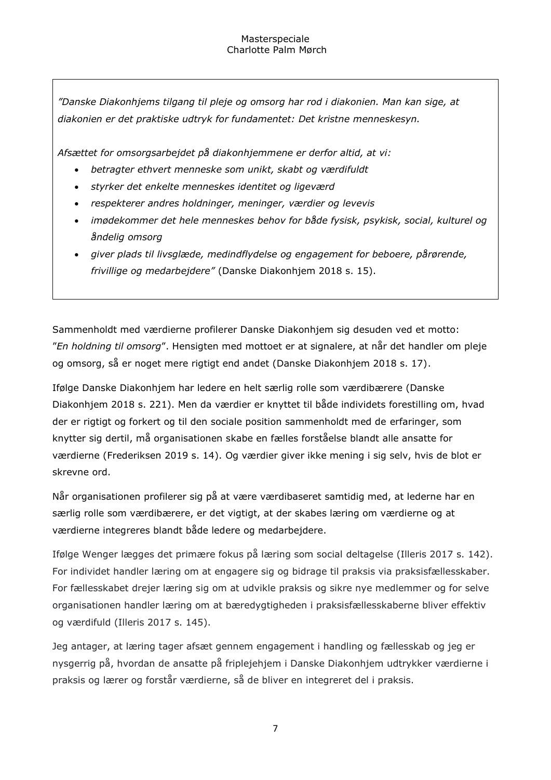*"Danske Diakonhjems tilgang til pleje og omsorg har rod i diakonien. Man kan sige, at diakonien er det praktiske udtryk for fundamentet: Det kristne menneskesyn.*

*Afsættet for omsorgsarbejdet på diakonhjemmene er derfor altid, at vi:*

- *betragter ethvert menneske som unikt, skabt og værdifuldt*
- *styrker det enkelte menneskes identitet og ligeværd*
- *respekterer andres holdninger, meninger, værdier og levevis*
- *imødekommer det hele menneskes behov for både fysisk, psykisk, social, kulturel og åndelig omsorg*
- *giver plads til livsglæde, medindflydelse og engagement for beboere, pårørende, frivillige og medarbejdere"* (Danske Diakonhjem 2018 s. 15).

Sammenholdt med værdierne profilerer Danske Diakonhjem sig desuden ved et motto: "*En holdning til omsorg*". Hensigten med mottoet er at signalere, at når det handler om pleje og omsorg, så er noget mere rigtigt end andet (Danske Diakonhjem 2018 s. 17).

Ifølge Danske Diakonhjem har ledere en helt særlig rolle som værdibærere (Danske Diakonhjem 2018 s. 221). Men da værdier er knyttet til både individets forestilling om, hvad der er rigtigt og forkert og til den sociale position sammenholdt med de erfaringer, som knytter sig dertil, må organisationen skabe en fælles forståelse blandt alle ansatte for værdierne (Frederiksen 2019 s. 14). Og værdier giver ikke mening i sig selv, hvis de blot er skrevne ord.

Når organisationen profilerer sig på at være værdibaseret samtidig med, at lederne har en særlig rolle som værdibærere, er det vigtigt, at der skabes læring om værdierne og at værdierne integreres blandt både ledere og medarbejdere.

Ifølge Wenger lægges det primære fokus på læring som social deltagelse (Illeris 2017 s. 142). For individet handler læring om at engagere sig og bidrage til praksis via praksisfællesskaber. For fællesskabet drejer læring sig om at udvikle praksis og sikre nye medlemmer og for selve organisationen handler læring om at bæredygtigheden i praksisfællesskaberne bliver effektiv og værdifuld (Illeris 2017 s. 145).

Jeg antager, at læring tager afsæt gennem engagement i handling og fællesskab og jeg er nysgerrig på, hvordan de ansatte på friplejehjem i Danske Diakonhjem udtrykker værdierne i praksis og lærer og forstår værdierne, så de bliver en integreret del i praksis.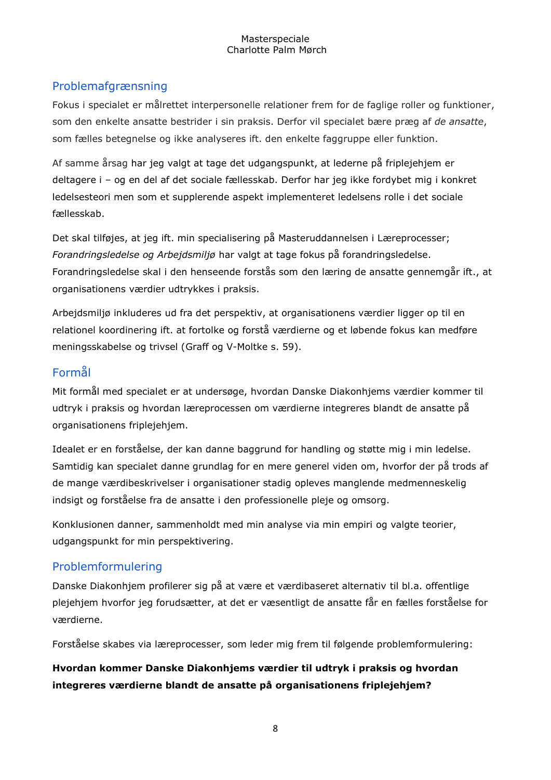## <span id="page-8-0"></span>Problemafgrænsning

Fokus i specialet er målrettet interpersonelle relationer frem for de faglige roller og funktioner, som den enkelte ansatte bestrider i sin praksis. Derfor vil specialet bære præg af *de ansatte*, som fælles betegnelse og ikke analyseres ift. den enkelte faggruppe eller funktion.

Af samme årsag har jeg valgt at tage det udgangspunkt, at lederne på friplejehjem er deltagere i – og en del af det sociale fællesskab. Derfor har jeg ikke fordybet mig i konkret ledelsesteori men som et supplerende aspekt implementeret ledelsens rolle i det sociale fællesskab.

Det skal tilføjes, at jeg ift. min specialisering på Masteruddannelsen i Læreprocesser; *Forandringsledelse og Arbejdsmiljø* har valgt at tage fokus på forandringsledelse. Forandringsledelse skal i den henseende forstås som den læring de ansatte gennemgår ift., at organisationens værdier udtrykkes i praksis.

Arbejdsmiljø inkluderes ud fra det perspektiv, at organisationens værdier ligger op til en relationel koordinering ift. at fortolke og forstå værdierne og et løbende fokus kan medføre meningsskabelse og trivsel (Graff og V-Moltke s. 59).

## <span id="page-8-1"></span>Formål

Mit formål med specialet er at undersøge, hvordan Danske Diakonhjems værdier kommer til udtryk i praksis og hvordan læreprocessen om værdierne integreres blandt de ansatte på organisationens friplejehjem.

Idealet er en forståelse, der kan danne baggrund for handling og støtte mig i min ledelse. Samtidig kan specialet danne grundlag for en mere generel viden om, hvorfor der på trods af de mange værdibeskrivelser i organisationer stadig opleves manglende medmenneskelig indsigt og forståelse fra de ansatte i den professionelle pleje og omsorg.

Konklusionen danner, sammenholdt med min analyse via min empiri og valgte teorier, udgangspunkt for min perspektivering.

## <span id="page-8-2"></span>Problemformulering

Danske Diakonhjem profilerer sig på at være et værdibaseret alternativ til bl.a. offentlige plejehjem hvorfor jeg forudsætter, at det er væsentligt de ansatte får en fælles forståelse for værdierne.

Forståelse skabes via læreprocesser, som leder mig frem til følgende problemformulering:

## **Hvordan kommer Danske Diakonhjems værdier til udtryk i praksis og hvordan integreres værdierne blandt de ansatte på organisationens friplejehjem?**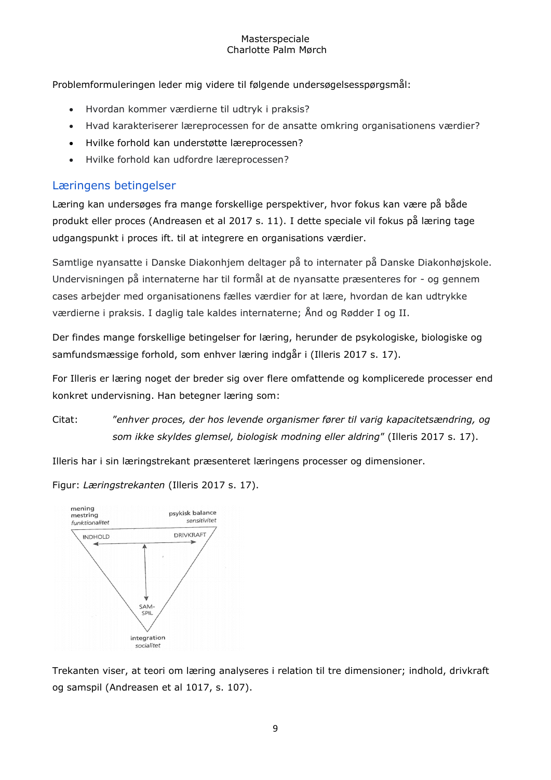Problemformuleringen leder mig videre til følgende undersøgelsesspørgsmål:

- Hvordan kommer værdierne til udtryk i praksis?
- Hvad karakteriserer læreprocessen for de ansatte omkring organisationens værdier?
- Hvilke forhold kan understøtte læreprocessen?
- Hvilke forhold kan udfordre læreprocessen?

## <span id="page-9-0"></span>Læringens betingelser

Læring kan undersøges fra mange forskellige perspektiver, hvor fokus kan være på både produkt eller proces (Andreasen et al 2017 s. 11). I dette speciale vil fokus på læring tage udgangspunkt i proces ift. til at integrere en organisations værdier.

Samtlige nyansatte i Danske Diakonhjem deltager på to internater på Danske Diakonhøjskole. Undervisningen på internaterne har til formål at de nyansatte præsenteres for - og gennem cases arbejder med organisationens fælles værdier for at lære, hvordan de kan udtrykke værdierne i praksis. I daglig tale kaldes internaterne; Ånd og Rødder I og II.

Der findes mange forskellige betingelser for læring, herunder de psykologiske, biologiske og samfundsmæssige forhold, som enhver læring indgår i (Illeris 2017 s. 17).

For Illeris er læring noget der breder sig over flere omfattende og komplicerede processer end konkret undervisning. Han betegner læring som:

Citat: "*enhver proces, der hos levende organismer fører til varig kapacitetsændring, og som ikke skyldes glemsel, biologisk modning eller aldring*" (Illeris 2017 s. 17).

Illeris har i sin læringstrekant præsenteret læringens processer og dimensioner.

Figur: *Læringstrekanten* (Illeris 2017 s. 17).



Trekanten viser, at teori om læring analyseres i relation til tre dimensioner; indhold, drivkraft og samspil (Andreasen et al 1017, s. 107).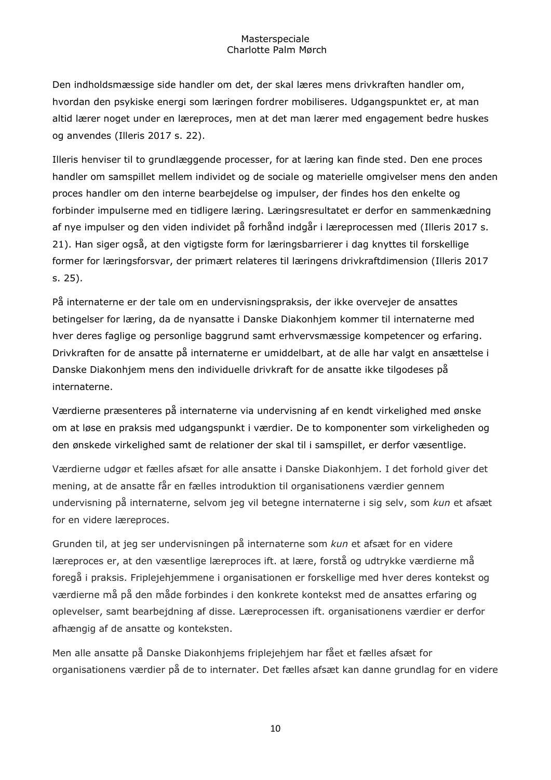Den indholdsmæssige side handler om det, der skal læres mens drivkraften handler om, hvordan den psykiske energi som læringen fordrer mobiliseres. Udgangspunktet er, at man altid lærer noget under en læreproces, men at det man lærer med engagement bedre huskes og anvendes (Illeris 2017 s. 22).

Illeris henviser til to grundlæggende processer, for at læring kan finde sted. Den ene proces handler om samspillet mellem individet og de sociale og materielle omgivelser mens den anden proces handler om den interne bearbejdelse og impulser, der findes hos den enkelte og forbinder impulserne med en tidligere læring. Læringsresultatet er derfor en sammenkædning af nye impulser og den viden individet på forhånd indgår i læreprocessen med (Illeris 2017 s. 21). Han siger også, at den vigtigste form for læringsbarrierer i dag knyttes til forskellige former for læringsforsvar, der primært relateres til læringens drivkraftdimension (Illeris 2017 s. 25).

På internaterne er der tale om en undervisningspraksis, der ikke overvejer de ansattes betingelser for læring, da de nyansatte i Danske Diakonhjem kommer til internaterne med hver deres faglige og personlige baggrund samt erhvervsmæssige kompetencer og erfaring. Drivkraften for de ansatte på internaterne er umiddelbart, at de alle har valgt en ansættelse i Danske Diakonhjem mens den individuelle drivkraft for de ansatte ikke tilgodeses på internaterne.

Værdierne præsenteres på internaterne via undervisning af en kendt virkelighed med ønske om at løse en praksis med udgangspunkt i værdier. De to komponenter som virkeligheden og den ønskede virkelighed samt de relationer der skal til i samspillet, er derfor væsentlige.

Værdierne udgør et fælles afsæt for alle ansatte i Danske Diakonhjem. I det forhold giver det mening, at de ansatte får en fælles introduktion til organisationens værdier gennem undervisning på internaterne, selvom jeg vil betegne internaterne i sig selv, som *kun* et afsæt for en videre læreproces.

Grunden til, at jeg ser undervisningen på internaterne som *kun* et afsæt for en videre læreproces er, at den væsentlige læreproces ift. at lære, forstå og udtrykke værdierne må foregå i praksis. Friplejehjemmene i organisationen er forskellige med hver deres kontekst og værdierne må på den måde forbindes i den konkrete kontekst med de ansattes erfaring og oplevelser, samt bearbejdning af disse. Læreprocessen ift. organisationens værdier er derfor afhængig af de ansatte og konteksten.

Men alle ansatte på Danske Diakonhjems friplejehjem har fået et fælles afsæt for organisationens værdier på de to internater. Det fælles afsæt kan danne grundlag for en videre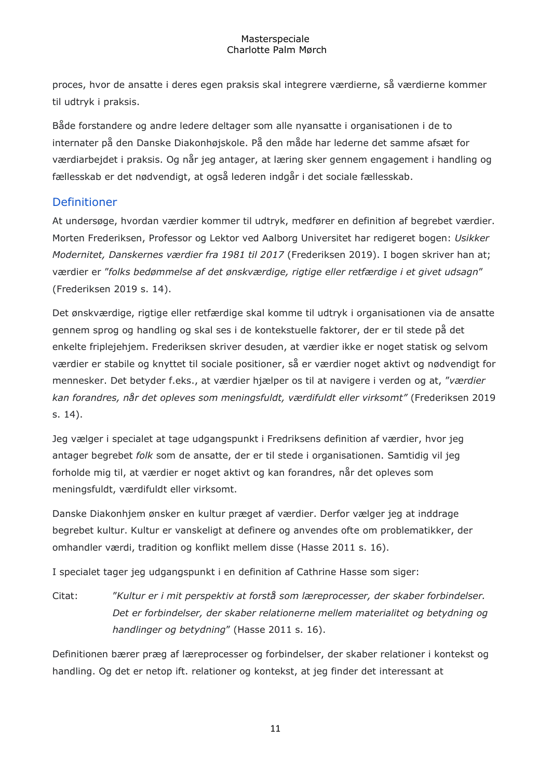proces, hvor de ansatte i deres egen praksis skal integrere værdierne, så værdierne kommer til udtryk i praksis.

Både forstandere og andre ledere deltager som alle nyansatte i organisationen i de to internater på den Danske Diakonhøjskole. På den måde har lederne det samme afsæt for værdiarbejdet i praksis. Og når jeg antager, at læring sker gennem engagement i handling og fællesskab er det nødvendigt, at også lederen indgår i det sociale fællesskab.

## <span id="page-11-0"></span>Definitioner

At undersøge, hvordan værdier kommer til udtryk, medfører en definition af begrebet værdier. Morten Frederiksen, Professor og Lektor ved Aalborg Universitet har redigeret bogen: *Usikker Modernitet, Danskernes værdier fra 1981 til 2017* (Frederiksen 2019). I bogen skriver han at; værdier er "*folks bedømmelse af det ønskværdige, rigtige eller retfærdige i et givet udsagn*" (Frederiksen 2019 s. 14).

Det ønskværdige, rigtige eller retfærdige skal komme til udtryk i organisationen via de ansatte gennem sprog og handling og skal ses i de kontekstuelle faktorer, der er til stede på det enkelte friplejehjem. Frederiksen skriver desuden, at værdier ikke er noget statisk og selvom værdier er stabile og knyttet til sociale positioner, så er værdier noget aktivt og nødvendigt for mennesker. Det betyder f.eks., at værdier hjælper os til at navigere i verden og at, "*værdier kan forandres, når det opleves som meningsfuldt, værdifuldt eller virksomt"* (Frederiksen 2019 s. 14).

Jeg vælger i specialet at tage udgangspunkt i Fredriksens definition af værdier, hvor jeg antager begrebet *folk* som de ansatte, der er til stede i organisationen. Samtidig vil jeg forholde mig til, at værdier er noget aktivt og kan forandres, når det opleves som meningsfuldt, værdifuldt eller virksomt.

Danske Diakonhjem ønsker en kultur præget af værdier. Derfor vælger jeg at inddrage begrebet kultur. Kultur er vanskeligt at definere og anvendes ofte om problematikker, der omhandler værdi, tradition og konflikt mellem disse (Hasse 2011 s. 16).

I specialet tager jeg udgangspunkt i en definition af Cathrine Hasse som siger:

Citat: "*Kultur er i mit perspektiv at forstå som læreprocesser, der skaber forbindelser. Det er forbindelser, der skaber relationerne mellem materialitet og betydning og handlinger og betydning*" (Hasse 2011 s. 16).

Definitionen bærer præg af læreprocesser og forbindelser, der skaber relationer i kontekst og handling. Og det er netop ift. relationer og kontekst, at jeg finder det interessant at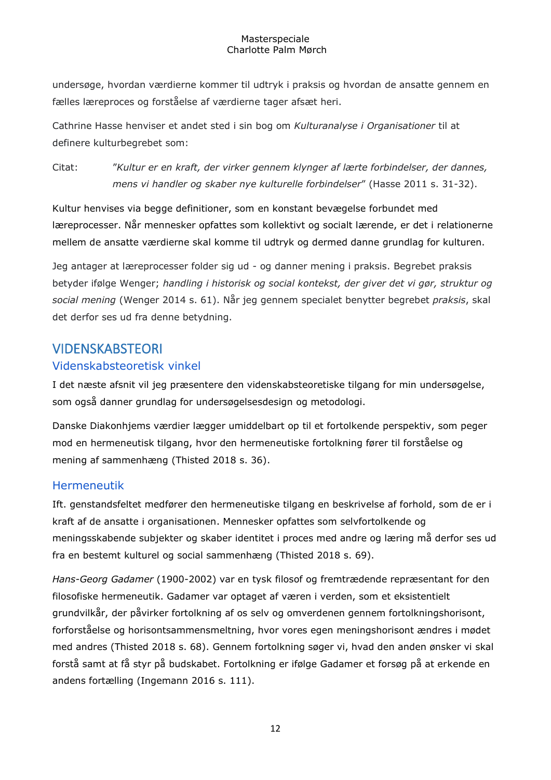undersøge, hvordan værdierne kommer til udtryk i praksis og hvordan de ansatte gennem en fælles læreproces og forståelse af værdierne tager afsæt heri.

Cathrine Hasse henviser et andet sted i sin bog om *Kulturanalyse i Organisationer* til at definere kulturbegrebet som:

Citat: "*Kultur er en kraft, der virker gennem klynger af lærte forbindelser, der dannes, mens vi handler og skaber nye kulturelle forbindelser*" (Hasse 2011 s. 31-32).

Kultur henvises via begge definitioner, som en konstant bevægelse forbundet med læreprocesser. Når mennesker opfattes som kollektivt og socialt lærende, er det i relationerne mellem de ansatte værdierne skal komme til udtryk og dermed danne grundlag for kulturen.

Jeg antager at læreprocesser folder sig ud - og danner mening i praksis. Begrebet praksis betyder ifølge Wenger; *handling i historisk og social kontekst, der giver det vi gør, struktur og social mening* (Wenger 2014 s. 61). Når jeg gennem specialet benytter begrebet *praksis*, skal det derfor ses ud fra denne betydning.

## <span id="page-12-0"></span>VIDENSKABSTEORI

## <span id="page-12-1"></span>Videnskabsteoretisk vinkel

I det næste afsnit vil jeg præsentere den videnskabsteoretiske tilgang for min undersøgelse, som også danner grundlag for undersøgelsesdesign og metodologi.

Danske Diakonhjems værdier lægger umiddelbart op til et fortolkende perspektiv, som peger mod en hermeneutisk tilgang, hvor den hermeneutiske fortolkning fører til forståelse og mening af sammenhæng (Thisted 2018 s. 36).

## <span id="page-12-2"></span>Hermeneutik

Ift. genstandsfeltet medfører den hermeneutiske tilgang en beskrivelse af forhold, som de er i kraft af de ansatte i organisationen. Mennesker opfattes som selvfortolkende og meningsskabende subjekter og skaber identitet i proces med andre og læring må derfor ses ud fra en bestemt kulturel og social sammenhæng (Thisted 2018 s. 69).

*Hans-Georg Gadamer* (1900-2002) var en tysk filosof og fremtrædende repræsentant for den filosofiske hermeneutik. Gadamer var optaget af væren i verden, som et eksistentielt grundvilkår, der påvirker fortolkning af os selv og omverdenen gennem fortolkningshorisont, forforståelse og horisontsammensmeltning, hvor vores egen meningshorisont ændres i mødet med andres (Thisted 2018 s. 68). Gennem fortolkning søger vi, hvad den anden ønsker vi skal forstå samt at få styr på budskabet. Fortolkning er ifølge Gadamer et forsøg på at erkende en andens fortælling (Ingemann 2016 s. 111).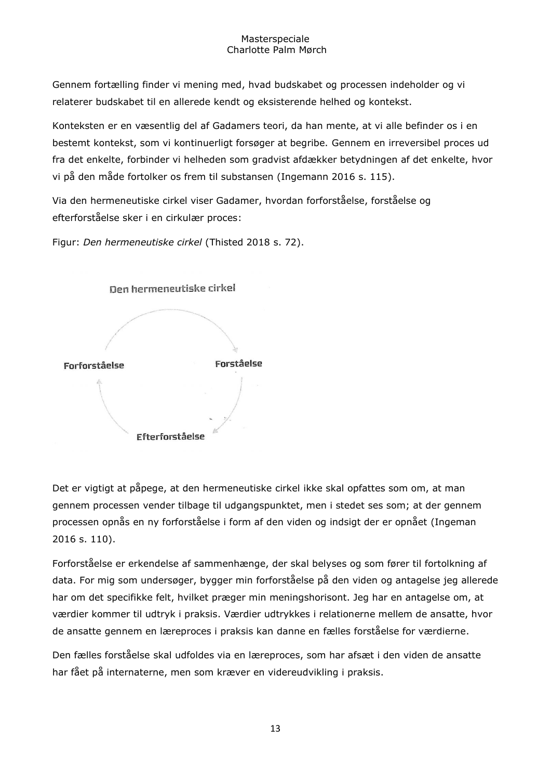Gennem fortælling finder vi mening med, hvad budskabet og processen indeholder og vi relaterer budskabet til en allerede kendt og eksisterende helhed og kontekst.

Konteksten er en væsentlig del af Gadamers teori, da han mente, at vi alle befinder os i en bestemt kontekst, som vi kontinuerligt forsøger at begribe. Gennem en irreversibel proces ud fra det enkelte, forbinder vi helheden som gradvist afdækker betydningen af det enkelte, hvor vi på den måde fortolker os frem til substansen (Ingemann 2016 s. 115).

Via den hermeneutiske cirkel viser Gadamer, hvordan forforståelse, forståelse og efterforståelse sker i en cirkulær proces:

Figur: *Den hermeneutiske cirkel* (Thisted 2018 s. 72).



Det er vigtigt at påpege, at den hermeneutiske cirkel ikke skal opfattes som om, at man gennem processen vender tilbage til udgangspunktet, men i stedet ses som; at der gennem processen opnås en ny forforståelse i form af den viden og indsigt der er opnået (Ingeman 2016 s. 110).

Forforståelse er erkendelse af sammenhænge, der skal belyses og som fører til fortolkning af data. For mig som undersøger, bygger min forforståelse på den viden og antagelse jeg allerede har om det specifikke felt, hvilket præger min meningshorisont. Jeg har en antagelse om, at værdier kommer til udtryk i praksis. Værdier udtrykkes i relationerne mellem de ansatte, hvor de ansatte gennem en læreproces i praksis kan danne en fælles forståelse for værdierne.

Den fælles forståelse skal udfoldes via en læreproces, som har afsæt i den viden de ansatte har fået på internaterne, men som kræver en videreudvikling i praksis.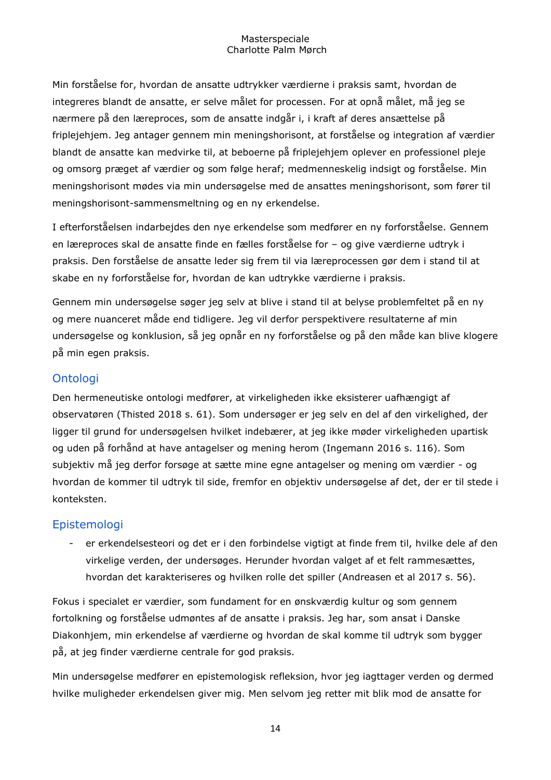Min forståelse for, hvordan de ansatte udtrykker værdierne i praksis samt, hvordan de integreres blandt de ansatte, er selve målet for processen. For at opnå målet, må jeg se nærmere på den læreproces, som de ansatte indgår i, i kraft af deres ansættelse på friplejehjem. Jeg antager gennem min meningshorisont, at forståelse og integration af værdier blandt de ansatte kan medvirke til, at beboerne på friplejehjem oplever en professionel pleje og omsorg præget af værdier og som følge heraf; medmenneskelig indsigt og forståelse. Min meningshorisont mødes via min undersøgelse med de ansattes meningshorisont, som fører til meningshorisont-sammensmeltning og en ny erkendelse.

I efterforståelsen indarbejdes den nye erkendelse som medfører en ny forforståelse. Gennem en læreproces skal de ansatte finde en fælles forståelse for – og give værdierne udtryk i praksis. Den forståelse de ansatte leder sig frem til via læreprocessen gør dem i stand til at skabe en ny forforståelse for, hvordan de kan udtrykke værdierne i praksis.

Gennem min undersøgelse søger jeg selv at blive i stand til at belyse problemfeltet på en ny og mere nuanceret måde end tidligere. Jeg vil derfor perspektivere resultaterne af min undersøgelse og konklusion, så jeg opnår en ny forforståelse og på den måde kan blive klogere på min egen praksis.

## <span id="page-14-0"></span>**Ontologi**

Den hermeneutiske ontologi medfører, at virkeligheden ikke eksisterer uafhængigt af observatøren (Thisted 2018 s. 61). Som undersøger er jeg selv en del af den virkelighed, der ligger til grund for undersøgelsen hvilket indebærer, at jeg ikke møder virkeligheden upartisk og uden på forhånd at have antagelser og mening herom (Ingemann 2016 s. 116). Som subjektiv må jeg derfor forsøge at sætte mine egne antagelser og mening om værdier - og hvordan de kommer til udtryk til side, fremfor en objektiv undersøgelse af det, der er til stede i konteksten.

## <span id="page-14-1"></span>Epistemologi

- er erkendelsesteori og det er i den forbindelse vigtigt at finde frem til, hvilke dele af den virkelige verden, der undersøges. Herunder hvordan valget af et felt rammesættes, hvordan det karakteriseres og hvilken rolle det spiller (Andreasen et al 2017 s. 56).

Fokus i specialet er værdier, som fundament for en ønskværdig kultur og som gennem fortolkning og forståelse udmøntes af de ansatte i praksis. Jeg har, som ansat i Danske Diakonhjem, min erkendelse af værdierne og hvordan de skal komme til udtryk som bygger på, at jeg finder værdierne centrale for god praksis.

Min undersøgelse medfører en epistemologisk refleksion, hvor jeg iagttager verden og dermed hvilke muligheder erkendelsen giver mig. Men selvom jeg retter mit blik mod de ansatte for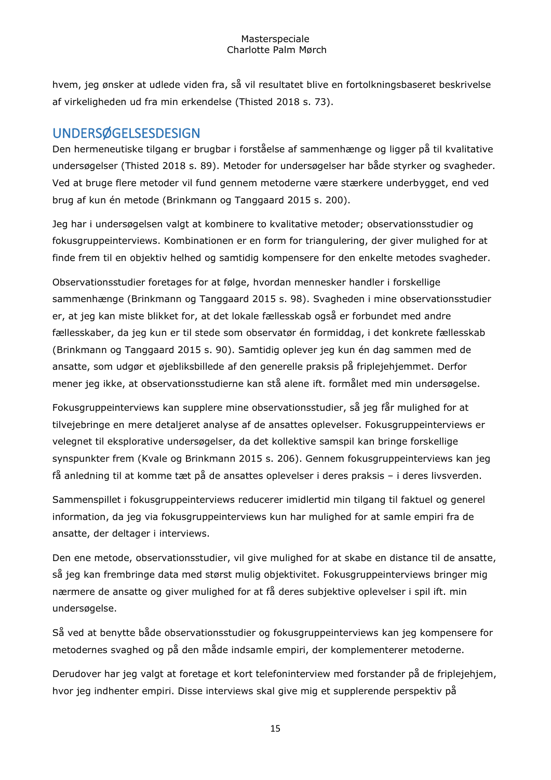hvem, jeg ønsker at udlede viden fra, så vil resultatet blive en fortolkningsbaseret beskrivelse af virkeligheden ud fra min erkendelse (Thisted 2018 s. 73).

## <span id="page-15-0"></span>UNDERSØGELSESDESIGN

Den hermeneutiske tilgang er brugbar i forståelse af sammenhænge og ligger på til kvalitative undersøgelser (Thisted 2018 s. 89). Metoder for undersøgelser har både styrker og svagheder. Ved at bruge flere metoder vil fund gennem metoderne være stærkere underbygget, end ved brug af kun én metode (Brinkmann og Tanggaard 2015 s. 200).

Jeg har i undersøgelsen valgt at kombinere to kvalitative metoder; observationsstudier og fokusgruppeinterviews. Kombinationen er en form for triangulering, der giver mulighed for at finde frem til en objektiv helhed og samtidig kompensere for den enkelte metodes svagheder.

Observationsstudier foretages for at følge, hvordan mennesker handler i forskellige sammenhænge (Brinkmann og Tanggaard 2015 s. 98). Svagheden i mine observationsstudier er, at jeg kan miste blikket for, at det lokale fællesskab også er forbundet med andre fællesskaber, da jeg kun er til stede som observatør én formiddag, i det konkrete fællesskab (Brinkmann og Tanggaard 2015 s. 90). Samtidig oplever jeg kun én dag sammen med de ansatte, som udgør et øjebliksbillede af den generelle praksis på friplejehjemmet. Derfor mener jeg ikke, at observationsstudierne kan stå alene ift. formålet med min undersøgelse.

Fokusgruppeinterviews kan supplere mine observationsstudier, så jeg får mulighed for at tilvejebringe en mere detaljeret analyse af de ansattes oplevelser. Fokusgruppeinterviews er velegnet til eksplorative undersøgelser, da det kollektive samspil kan bringe forskellige synspunkter frem (Kvale og Brinkmann 2015 s. 206). Gennem fokusgruppeinterviews kan jeg få anledning til at komme tæt på de ansattes oplevelser i deres praksis – i deres livsverden.

Sammenspillet i fokusgruppeinterviews reducerer imidlertid min tilgang til faktuel og generel information, da jeg via fokusgruppeinterviews kun har mulighed for at samle empiri fra de ansatte, der deltager i interviews.

Den ene metode, observationsstudier, vil give mulighed for at skabe en distance til de ansatte, så jeg kan frembringe data med størst mulig objektivitet. Fokusgruppeinterviews bringer mig nærmere de ansatte og giver mulighed for at få deres subjektive oplevelser i spil ift. min undersøgelse.

Så ved at benytte både observationsstudier og fokusgruppeinterviews kan jeg kompensere for metodernes svaghed og på den måde indsamle empiri, der komplementerer metoderne.

Derudover har jeg valgt at foretage et kort telefoninterview med forstander på de friplejehjem, hvor jeg indhenter empiri. Disse interviews skal give mig et supplerende perspektiv på

15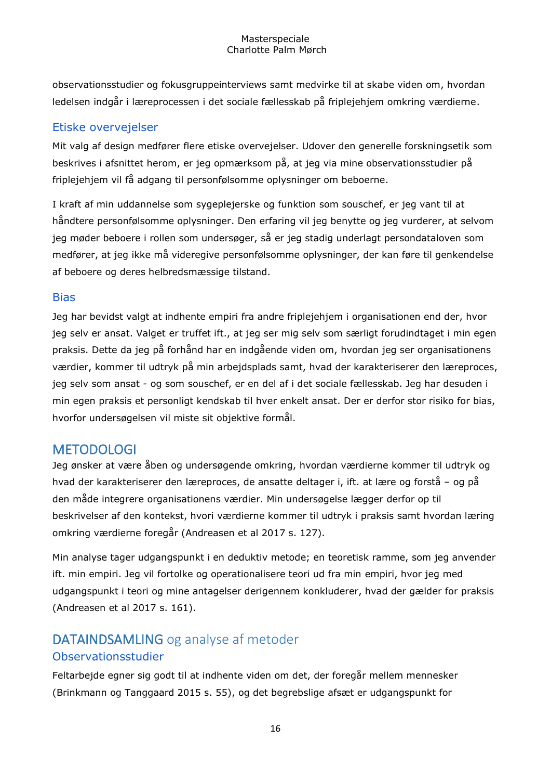observationsstudier og fokusgruppeinterviews samt medvirke til at skabe viden om, hvordan ledelsen indgår i læreprocessen i det sociale fællesskab på friplejehjem omkring værdierne.

## <span id="page-16-0"></span>Etiske overvejelser

Mit valg af design medfører flere etiske overvejelser. Udover den generelle forskningsetik som beskrives i afsnittet herom, er jeg opmærksom på, at jeg via mine observationsstudier på friplejehjem vil få adgang til personfølsomme oplysninger om beboerne.

I kraft af min uddannelse som sygeplejerske og funktion som souschef, er jeg vant til at håndtere personfølsomme oplysninger. Den erfaring vil jeg benytte og jeg vurderer, at selvom jeg møder beboere i rollen som undersøger, så er jeg stadig underlagt persondataloven som medfører, at jeg ikke må videregive personfølsomme oplysninger, der kan føre til genkendelse af beboere og deres helbredsmæssige tilstand.

## <span id="page-16-1"></span>**Bias**

Jeg har bevidst valgt at indhente empiri fra andre friplejehjem i organisationen end der, hvor jeg selv er ansat. Valget er truffet ift., at jeg ser mig selv som særligt forudindtaget i min egen praksis. Dette da jeg på forhånd har en indgående viden om, hvordan jeg ser organisationens værdier, kommer til udtryk på min arbejdsplads samt, hvad der karakteriserer den læreproces, jeg selv som ansat - og som souschef, er en del af i det sociale fællesskab. Jeg har desuden i min egen praksis et personligt kendskab til hver enkelt ansat. Der er derfor stor risiko for bias, hvorfor undersøgelsen vil miste sit objektive formål.

## <span id="page-16-2"></span>**METODOLOGI**

Jeg ønsker at være åben og undersøgende omkring, hvordan værdierne kommer til udtryk og hvad der karakteriserer den læreproces, de ansatte deltager i, ift. at lære og forstå – og på den måde integrere organisationens værdier. Min undersøgelse lægger derfor op til beskrivelser af den kontekst, hvori værdierne kommer til udtryk i praksis samt hvordan læring omkring værdierne foregår (Andreasen et al 2017 s. 127).

Min analyse tager udgangspunkt i en deduktiv metode; en teoretisk ramme, som jeg anvender ift. min empiri. Jeg vil fortolke og operationalisere teori ud fra min empiri, hvor jeg med udgangspunkt i teori og mine antagelser derigennem konkluderer, hvad der gælder for praksis (Andreasen et al 2017 s. 161).

## <span id="page-16-4"></span><span id="page-16-3"></span>DATAINDSAMLING og analyse af metoder Observationsstudier

Feltarbejde egner sig godt til at indhente viden om det, der foregår mellem mennesker (Brinkmann og Tanggaard 2015 s. 55), og det begrebslige afsæt er udgangspunkt for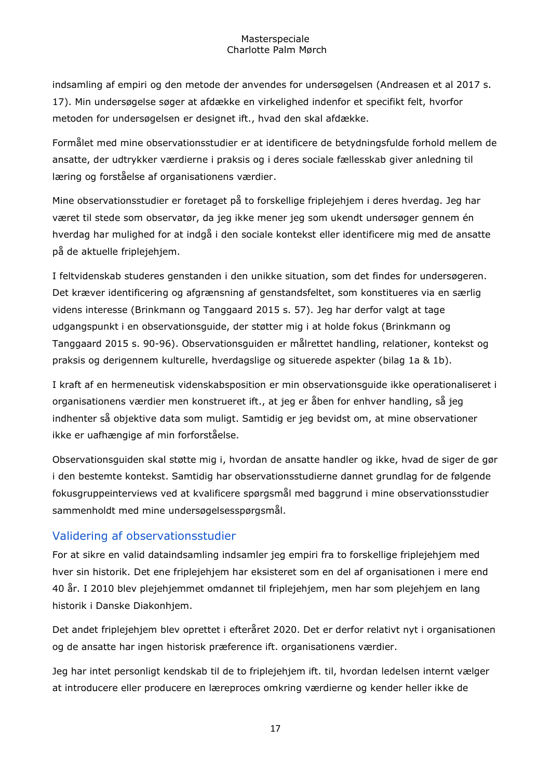indsamling af empiri og den metode der anvendes for undersøgelsen (Andreasen et al 2017 s. 17). Min undersøgelse søger at afdække en virkelighed indenfor et specifikt felt, hvorfor metoden for undersøgelsen er designet ift., hvad den skal afdække.

Formålet med mine observationsstudier er at identificere de betydningsfulde forhold mellem de ansatte, der udtrykker værdierne i praksis og i deres sociale fællesskab giver anledning til læring og forståelse af organisationens værdier.

Mine observationsstudier er foretaget på to forskellige friplejehjem i deres hverdag. Jeg har været til stede som observatør, da jeg ikke mener jeg som ukendt undersøger gennem én hverdag har mulighed for at indgå i den sociale kontekst eller identificere mig med de ansatte på de aktuelle friplejehjem.

I feltvidenskab studeres genstanden i den unikke situation, som det findes for undersøgeren. Det kræver identificering og afgrænsning af genstandsfeltet, som konstitueres via en særlig videns interesse (Brinkmann og Tanggaard 2015 s. 57). Jeg har derfor valgt at tage udgangspunkt i en observationsguide, der støtter mig i at holde fokus (Brinkmann og Tanggaard 2015 s. 90-96). Observationsguiden er målrettet handling, relationer, kontekst og praksis og derigennem kulturelle, hverdagslige og situerede aspekter (bilag 1a & 1b).

I kraft af en hermeneutisk videnskabsposition er min observationsguide ikke operationaliseret i organisationens værdier men konstrueret ift., at jeg er åben for enhver handling, så jeg indhenter så objektive data som muligt. Samtidig er jeg bevidst om, at mine observationer ikke er uafhængige af min forforståelse.

Observationsguiden skal støtte mig i, hvordan de ansatte handler og ikke, hvad de siger de gør i den bestemte kontekst. Samtidig har observationsstudierne dannet grundlag for de følgende fokusgruppeinterviews ved at kvalificere spørgsmål med baggrund i mine observationsstudier sammenholdt med mine undersøgelsesspørgsmål.

## <span id="page-17-0"></span>Validering af observationsstudier

For at sikre en valid dataindsamling indsamler jeg empiri fra to forskellige friplejehjem med hver sin historik. Det ene friplejehjem har eksisteret som en del af organisationen i mere end 40 år. I 2010 blev plejehjemmet omdannet til friplejehjem, men har som plejehjem en lang historik i Danske Diakonhjem.

Det andet friplejehjem blev oprettet i efteråret 2020. Det er derfor relativt nyt i organisationen og de ansatte har ingen historisk præference ift. organisationens værdier.

Jeg har intet personligt kendskab til de to friplejehjem ift. til, hvordan ledelsen internt vælger at introducere eller producere en læreproces omkring værdierne og kender heller ikke de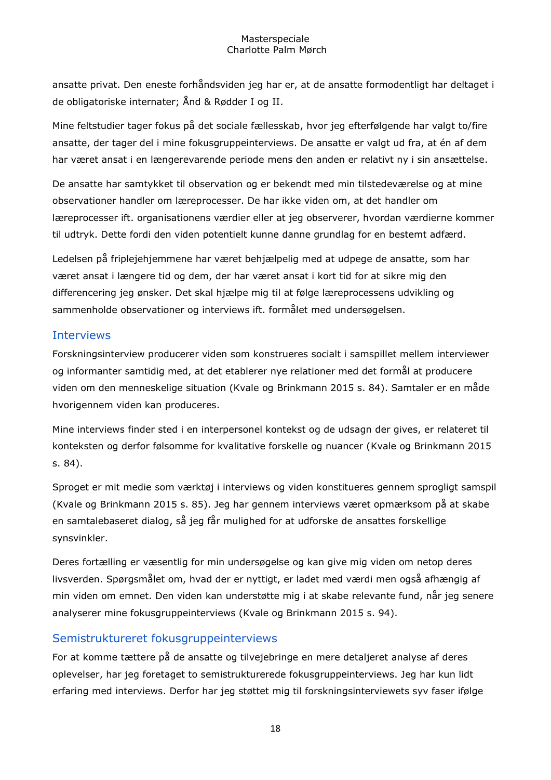ansatte privat. Den eneste forhåndsviden jeg har er, at de ansatte formodentligt har deltaget i de obligatoriske internater; Ånd & Rødder I og II.

Mine feltstudier tager fokus på det sociale fællesskab, hvor jeg efterfølgende har valgt to/fire ansatte, der tager del i mine fokusgruppeinterviews. De ansatte er valgt ud fra, at én af dem har været ansat i en længerevarende periode mens den anden er relativt ny i sin ansættelse.

De ansatte har samtykket til observation og er bekendt med min tilstedeværelse og at mine observationer handler om læreprocesser. De har ikke viden om, at det handler om læreprocesser ift. organisationens værdier eller at jeg observerer, hvordan værdierne kommer til udtryk. Dette fordi den viden potentielt kunne danne grundlag for en bestemt adfærd.

Ledelsen på friplejehjemmene har været behjælpelig med at udpege de ansatte, som har været ansat i længere tid og dem, der har været ansat i kort tid for at sikre mig den differencering jeg ønsker. Det skal hjælpe mig til at følge læreprocessens udvikling og sammenholde observationer og interviews ift. formålet med undersøgelsen.

## <span id="page-18-0"></span>Interviews

Forskningsinterview producerer viden som konstrueres socialt i samspillet mellem interviewer og informanter samtidig med, at det etablerer nye relationer med det formål at producere viden om den menneskelige situation (Kvale og Brinkmann 2015 s. 84). Samtaler er en måde hvorigennem viden kan produceres.

Mine interviews finder sted i en interpersonel kontekst og de udsagn der gives, er relateret til konteksten og derfor følsomme for kvalitative forskelle og nuancer (Kvale og Brinkmann 2015 s. 84).

Sproget er mit medie som værktøj i interviews og viden konstitueres gennem sprogligt samspil (Kvale og Brinkmann 2015 s. 85). Jeg har gennem interviews været opmærksom på at skabe en samtalebaseret dialog, så jeg får mulighed for at udforske de ansattes forskellige synsvinkler.

Deres fortælling er væsentlig for min undersøgelse og kan give mig viden om netop deres livsverden. Spørgsmålet om, hvad der er nyttigt, er ladet med værdi men også afhængig af min viden om emnet. Den viden kan understøtte mig i at skabe relevante fund, når jeg senere analyserer mine fokusgruppeinterviews (Kvale og Brinkmann 2015 s. 94).

## <span id="page-18-1"></span>Semistruktureret fokusgruppeinterviews

For at komme tættere på de ansatte og tilvejebringe en mere detaljeret analyse af deres oplevelser, har jeg foretaget to semistrukturerede fokusgruppeinterviews. Jeg har kun lidt erfaring med interviews. Derfor har jeg støttet mig til forskningsinterviewets syv faser ifølge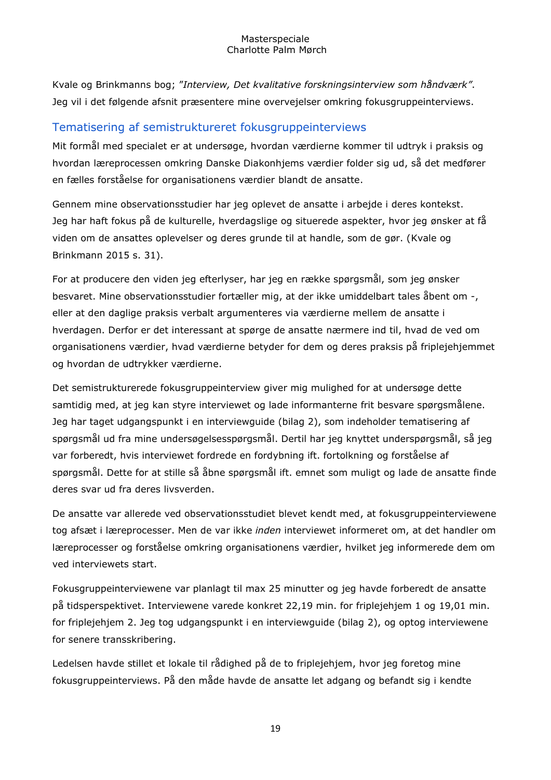Kvale og Brinkmanns bog; "*Interview, Det kvalitative forskningsinterview som håndværk"*. Jeg vil i det følgende afsnit præsentere mine overvejelser omkring fokusgruppeinterviews.

#### <span id="page-19-0"></span>Tematisering af semistruktureret fokusgruppeinterviews

Mit formål med specialet er at undersøge, hvordan værdierne kommer til udtryk i praksis og hvordan læreprocessen omkring Danske Diakonhjems værdier folder sig ud, så det medfører en fælles forståelse for organisationens værdier blandt de ansatte.

Gennem mine observationsstudier har jeg oplevet de ansatte i arbejde i deres kontekst. Jeg har haft fokus på de kulturelle, hverdagslige og situerede aspekter, hvor jeg ønsker at få viden om de ansattes oplevelser og deres grunde til at handle, som de gør. (Kvale og Brinkmann 2015 s. 31).

For at producere den viden jeg efterlyser, har jeg en række spørgsmål, som jeg ønsker besvaret. Mine observationsstudier fortæller mig, at der ikke umiddelbart tales åbent om -, eller at den daglige praksis verbalt argumenteres via værdierne mellem de ansatte i hverdagen. Derfor er det interessant at spørge de ansatte nærmere ind til, hvad de ved om organisationens værdier, hvad værdierne betyder for dem og deres praksis på friplejehjemmet og hvordan de udtrykker værdierne.

Det semistrukturerede fokusgruppeinterview giver mig mulighed for at undersøge dette samtidig med, at jeg kan styre interviewet og lade informanterne frit besvare spørgsmålene. Jeg har taget udgangspunkt i en interviewguide (bilag 2), som indeholder tematisering af spørgsmål ud fra mine undersøgelsesspørgsmål. Dertil har jeg knyttet underspørgsmål, så jeg var forberedt, hvis interviewet fordrede en fordybning ift. fortolkning og forståelse af spørgsmål. Dette for at stille så åbne spørgsmål ift. emnet som muligt og lade de ansatte finde deres svar ud fra deres livsverden.

De ansatte var allerede ved observationsstudiet blevet kendt med, at fokusgruppeinterviewene tog afsæt i læreprocesser. Men de var ikke *inden* interviewet informeret om, at det handler om læreprocesser og forståelse omkring organisationens værdier, hvilket jeg informerede dem om ved interviewets start.

Fokusgruppeinterviewene var planlagt til max 25 minutter og jeg havde forberedt de ansatte på tidsperspektivet. Interviewene varede konkret 22,19 min. for friplejehjem 1 og 19,01 min. for friplejehjem 2. Jeg tog udgangspunkt i en interviewguide (bilag 2), og optog interviewene for senere transskribering.

Ledelsen havde stillet et lokale til rådighed på de to friplejehjem, hvor jeg foretog mine fokusgruppeinterviews. På den måde havde de ansatte let adgang og befandt sig i kendte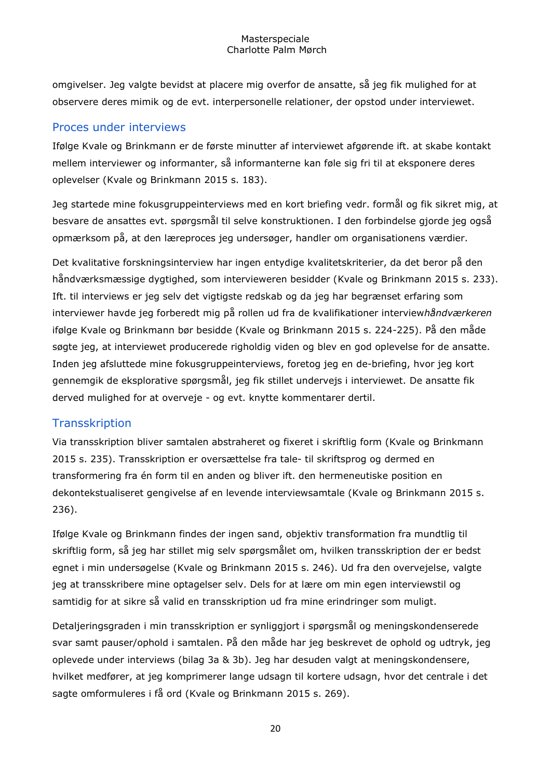omgivelser. Jeg valgte bevidst at placere mig overfor de ansatte, så jeg fik mulighed for at observere deres mimik og de evt. interpersonelle relationer, der opstod under interviewet.

#### <span id="page-20-0"></span>Proces under interviews

Ifølge Kvale og Brinkmann er de første minutter af interviewet afgørende ift. at skabe kontakt mellem interviewer og informanter, så informanterne kan føle sig fri til at eksponere deres oplevelser (Kvale og Brinkmann 2015 s. 183).

Jeg startede mine fokusgruppeinterviews med en kort briefing vedr. formål og fik sikret mig, at besvare de ansattes evt. spørgsmål til selve konstruktionen. I den forbindelse gjorde jeg også opmærksom på, at den læreproces jeg undersøger, handler om organisationens værdier.

Det kvalitative forskningsinterview har ingen entydige kvalitetskriterier, da det beror på den håndværksmæssige dygtighed, som intervieweren besidder (Kvale og Brinkmann 2015 s. 233). Ift. til interviews er jeg selv det vigtigste redskab og da jeg har begrænset erfaring som interviewer havde jeg forberedt mig på rollen ud fra de kvalifikationer interview*håndværkeren* ifølge Kvale og Brinkmann bør besidde (Kvale og Brinkmann 2015 s. 224-225). På den måde søgte jeg, at interviewet producerede righoldig viden og blev en god oplevelse for de ansatte. Inden jeg afsluttede mine fokusgruppeinterviews, foretog jeg en de-briefing, hvor jeg kort gennemgik de eksplorative spørgsmål, jeg fik stillet undervejs i interviewet. De ansatte fik derved mulighed for at overveje - og evt. knytte kommentarer dertil.

## <span id="page-20-1"></span>**Transskription**

Via transskription bliver samtalen abstraheret og fixeret i skriftlig form (Kvale og Brinkmann 2015 s. 235). Transskription er oversættelse fra tale- til skriftsprog og dermed en transformering fra én form til en anden og bliver ift. den hermeneutiske position en dekontekstualiseret gengivelse af en levende interviewsamtale (Kvale og Brinkmann 2015 s. 236).

Ifølge Kvale og Brinkmann findes der ingen sand, objektiv transformation fra mundtlig til skriftlig form, så jeg har stillet mig selv spørgsmålet om, hvilken transskription der er bedst egnet i min undersøgelse (Kvale og Brinkmann 2015 s. 246). Ud fra den overvejelse, valgte jeg at transskribere mine optagelser selv. Dels for at lære om min egen interviewstil og samtidig for at sikre så valid en transskription ud fra mine erindringer som muligt.

Detaljeringsgraden i min transskription er synliggjort i spørgsmål og meningskondenserede svar samt pauser/ophold i samtalen. På den måde har jeg beskrevet de ophold og udtryk, jeg oplevede under interviews (bilag 3a & 3b). Jeg har desuden valgt at meningskondensere, hvilket medfører, at jeg komprimerer lange udsagn til kortere udsagn, hvor det centrale i det sagte omformuleres i få ord (Kvale og Brinkmann 2015 s. 269).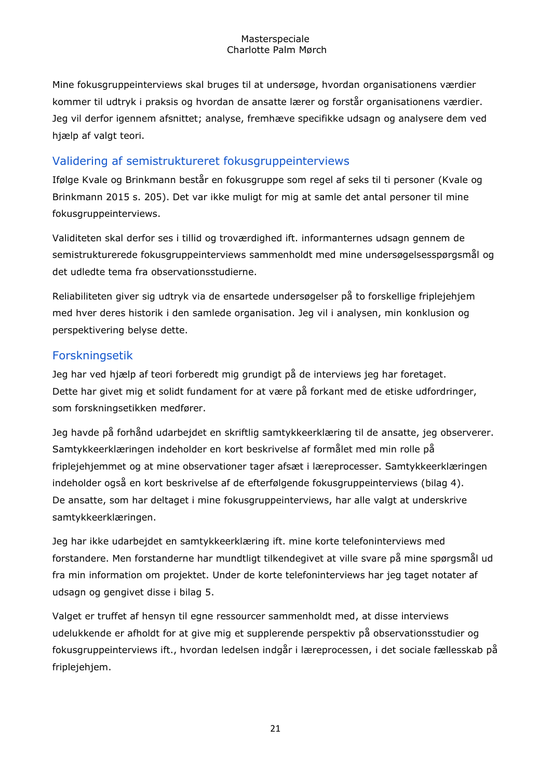Mine fokusgruppeinterviews skal bruges til at undersøge, hvordan organisationens værdier kommer til udtryk i praksis og hvordan de ansatte lærer og forstår organisationens værdier. Jeg vil derfor igennem afsnittet; analyse, fremhæve specifikke udsagn og analysere dem ved hjælp af valgt teori.

## <span id="page-21-0"></span>Validering af semistruktureret fokusgruppeinterviews

Ifølge Kvale og Brinkmann består en fokusgruppe som regel af seks til ti personer (Kvale og Brinkmann 2015 s. 205). Det var ikke muligt for mig at samle det antal personer til mine fokusgruppeinterviews.

Validiteten skal derfor ses i tillid og troværdighed ift. informanternes udsagn gennem de semistrukturerede fokusgruppeinterviews sammenholdt med mine undersøgelsesspørgsmål og det udledte tema fra observationsstudierne.

Reliabiliteten giver sig udtryk via de ensartede undersøgelser på to forskellige friplejehjem med hver deres historik i den samlede organisation. Jeg vil i analysen, min konklusion og perspektivering belyse dette.

## <span id="page-21-1"></span>Forskningsetik

Jeg har ved hjælp af teori forberedt mig grundigt på de interviews jeg har foretaget. Dette har givet mig et solidt fundament for at være på forkant med de etiske udfordringer, som forskningsetikken medfører.

Jeg havde på forhånd udarbejdet en skriftlig samtykkeerklæring til de ansatte, jeg observerer. Samtykkeerklæringen indeholder en kort beskrivelse af formålet med min rolle på friplejehjemmet og at mine observationer tager afsæt i læreprocesser. Samtykkeerklæringen indeholder også en kort beskrivelse af de efterfølgende fokusgruppeinterviews (bilag 4). De ansatte, som har deltaget i mine fokusgruppeinterviews, har alle valgt at underskrive samtykkeerklæringen.

Jeg har ikke udarbejdet en samtykkeerklæring ift. mine korte telefoninterviews med forstandere. Men forstanderne har mundtligt tilkendegivet at ville svare på mine spørgsmål ud fra min information om projektet. Under de korte telefoninterviews har jeg taget notater af udsagn og gengivet disse i bilag 5.

Valget er truffet af hensyn til egne ressourcer sammenholdt med, at disse interviews udelukkende er afholdt for at give mig et supplerende perspektiv på observationsstudier og fokusgruppeinterviews ift., hvordan ledelsen indgår i læreprocessen, i det sociale fællesskab på friplejehjem.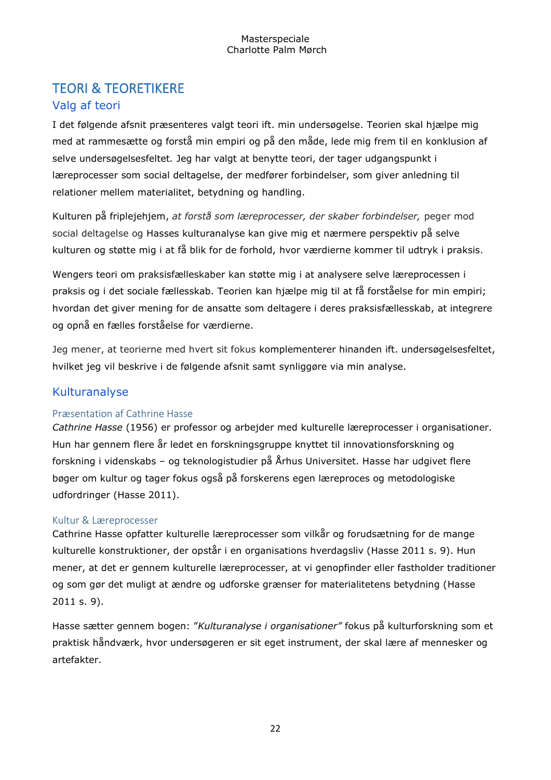## <span id="page-22-0"></span>TEORI & TEORETIKERE

## <span id="page-22-1"></span>Valg af teori

I det følgende afsnit præsenteres valgt teori ift. min undersøgelse. Teorien skal hjælpe mig med at rammesætte og forstå min empiri og på den måde, lede mig frem til en konklusion af selve undersøgelsesfeltet*.* Jeg har valgt at benytte teori, der tager udgangspunkt i læreprocesser som social deltagelse, der medfører forbindelser, som giver anledning til relationer mellem materialitet, betydning og handling.

Kulturen på friplejehjem, *at forstå som læreprocesser, der skaber forbindelser,* peger mod social deltagelse og Hasses kulturanalyse kan give mig et nærmere perspektiv på selve kulturen og støtte mig i at få blik for de forhold, hvor værdierne kommer til udtryk i praksis.

Wengers teori om praksisfælleskaber kan støtte mig i at analysere selve læreprocessen i praksis og i det sociale fællesskab. Teorien kan hjælpe mig til at få forståelse for min empiri; hvordan det giver mening for de ansatte som deltagere i deres praksisfællesskab, at integrere og opnå en fælles forståelse for værdierne.

Jeg mener, at teorierne med hvert sit fokus komplementerer hinanden ift. undersøgelsesfeltet, hvilket jeg vil beskrive i de følgende afsnit samt synliggøre via min analyse.

## <span id="page-22-2"></span>Kulturanalyse

#### <span id="page-22-3"></span>Præsentation af Cathrine Hasse

*Cathrine Hasse* (1956) er professor og arbejder med kulturelle læreprocesser i organisationer. Hun har gennem flere år ledet en forskningsgruppe knyttet til innovationsforskning og forskning i videnskabs – og teknologistudier på Århus Universitet. Hasse har udgivet flere bøger om kultur og tager fokus også på forskerens egen læreproces og metodologiske udfordringer (Hasse 2011).

#### <span id="page-22-4"></span>Kultur & Læreprocesser

Cathrine Hasse opfatter kulturelle læreprocesser som vilkår og forudsætning for de mange kulturelle konstruktioner, der opstår i en organisations hverdagsliv (Hasse 2011 s. 9). Hun mener, at det er gennem kulturelle læreprocesser, at vi genopfinder eller fastholder traditioner og som gør det muligt at ændre og udforske grænser for materialitetens betydning (Hasse 2011 s. 9).

Hasse sætter gennem bogen: "*Kulturanalyse i organisationer"* fokus på kulturforskning som et praktisk håndværk, hvor undersøgeren er sit eget instrument, der skal lære af mennesker og artefakter.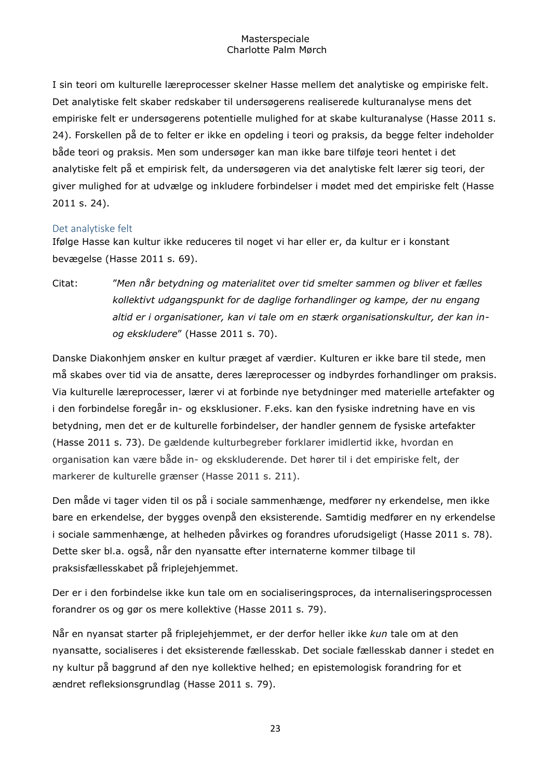I sin teori om kulturelle læreprocesser skelner Hasse mellem det analytiske og empiriske felt. Det analytiske felt skaber redskaber til undersøgerens realiserede kulturanalyse mens det empiriske felt er undersøgerens potentielle mulighed for at skabe kulturanalyse (Hasse 2011 s. 24). Forskellen på de to felter er ikke en opdeling i teori og praksis, da begge felter indeholder både teori og praksis. Men som undersøger kan man ikke bare tilføje teori hentet i det analytiske felt på et empirisk felt, da undersøgeren via det analytiske felt lærer sig teori, der giver mulighed for at udvælge og inkludere forbindelser i mødet med det empiriske felt (Hasse 2011 s. 24).

#### <span id="page-23-0"></span>Det analytiske felt

Ifølge Hasse kan kultur ikke reduceres til noget vi har eller er, da kultur er i konstant bevægelse (Hasse 2011 s. 69).

Citat: "*Men når betydning og materialitet over tid smelter sammen og bliver et fælles kollektivt udgangspunkt for de daglige forhandlinger og kampe, der nu engang altid er i organisationer, kan vi tale om en stærk organisationskultur, der kan inog ekskludere*" (Hasse 2011 s. 70).

Danske Diakonhjem ønsker en kultur præget af værdier. Kulturen er ikke bare til stede, men må skabes over tid via de ansatte, deres læreprocesser og indbyrdes forhandlinger om praksis. Via kulturelle læreprocesser, lærer vi at forbinde nye betydninger med materielle artefakter og i den forbindelse foregår in- og eksklusioner. F.eks. kan den fysiske indretning have en vis betydning, men det er de kulturelle forbindelser, der handler gennem de fysiske artefakter (Hasse 2011 s. 73). De gældende kulturbegreber forklarer imidlertid ikke, hvordan en organisation kan være både in- og ekskluderende. Det hører til i det empiriske felt, der markerer de kulturelle grænser (Hasse 2011 s. 211).

Den måde vi tager viden til os på i sociale sammenhænge, medfører ny erkendelse, men ikke bare en erkendelse, der bygges ovenpå den eksisterende. Samtidig medfører en ny erkendelse i sociale sammenhænge, at helheden påvirkes og forandres uforudsigeligt (Hasse 2011 s. 78). Dette sker bl.a. også, når den nyansatte efter internaterne kommer tilbage til praksisfællesskabet på friplejehjemmet.

Der er i den forbindelse ikke kun tale om en socialiseringsproces, da internaliseringsprocessen forandrer os og gør os mere kollektive (Hasse 2011 s. 79).

Når en nyansat starter på friplejehjemmet, er der derfor heller ikke *kun* tale om at den nyansatte, socialiseres i det eksisterende fællesskab. Det sociale fællesskab danner i stedet en ny kultur på baggrund af den nye kollektive helhed; en epistemologisk forandring for et ændret refleksionsgrundlag (Hasse 2011 s. 79).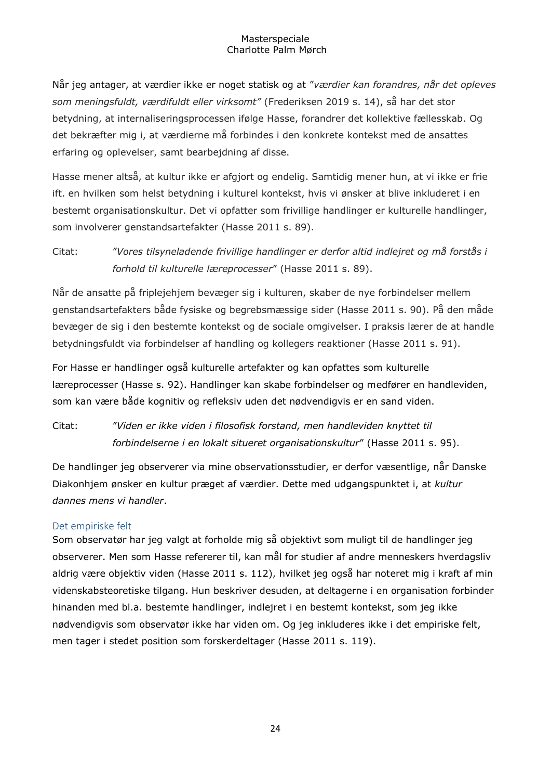Når jeg antager, at værdier ikke er noget statisk og at "*værdier kan forandres, når det opleves som meningsfuldt, værdifuldt eller virksomt"* (Frederiksen 2019 s. 14), så har det stor betydning, at internaliseringsprocessen ifølge Hasse, forandrer det kollektive fællesskab. Og det bekræfter mig i, at værdierne må forbindes i den konkrete kontekst med de ansattes erfaring og oplevelser, samt bearbejdning af disse.

Hasse mener altså, at kultur ikke er afgjort og endelig. Samtidig mener hun, at vi ikke er frie ift. en hvilken som helst betydning i kulturel kontekst, hvis vi ønsker at blive inkluderet i en bestemt organisationskultur. Det vi opfatter som frivillige handlinger er kulturelle handlinger, som involverer genstandsartefakter (Hasse 2011 s. 89).

Citat: "*Vores tilsyneladende frivillige handlinger er derfor altid indlejret og må forstås i forhold til kulturelle læreprocesser*" (Hasse 2011 s. 89).

Når de ansatte på friplejehjem bevæger sig i kulturen, skaber de nye forbindelser mellem genstandsartefakters både fysiske og begrebsmæssige sider (Hasse 2011 s. 90). På den måde bevæger de sig i den bestemte kontekst og de sociale omgivelser. I praksis lærer de at handle betydningsfuldt via forbindelser af handling og kollegers reaktioner (Hasse 2011 s. 91).

For Hasse er handlinger også kulturelle artefakter og kan opfattes som kulturelle læreprocesser (Hasse s. 92). Handlinger kan skabe forbindelser og medfører en handleviden, som kan være både kognitiv og refleksiv uden det nødvendigvis er en sand viden.

Citat: "*Viden er ikke viden i filosofisk forstand, men handleviden knyttet til forbindelserne i en lokalt situeret organisationskultur*" (Hasse 2011 s. 95).

De handlinger jeg observerer via mine observationsstudier, er derfor væsentlige, når Danske Diakonhjem ønsker en kultur præget af værdier. Dette med udgangspunktet i, at *kultur dannes mens vi handler*.

#### <span id="page-24-0"></span>Det empiriske felt

Som observatør har jeg valgt at forholde mig så objektivt som muligt til de handlinger jeg observerer. Men som Hasse refererer til, kan mål for studier af andre menneskers hverdagsliv aldrig være objektiv viden (Hasse 2011 s. 112), hvilket jeg også har noteret mig i kraft af min videnskabsteoretiske tilgang. Hun beskriver desuden, at deltagerne i en organisation forbinder hinanden med bl.a. bestemte handlinger, indlejret i en bestemt kontekst, som jeg ikke nødvendigvis som observatør ikke har viden om. Og jeg inkluderes ikke i det empiriske felt, men tager i stedet position som forskerdeltager (Hasse 2011 s. 119).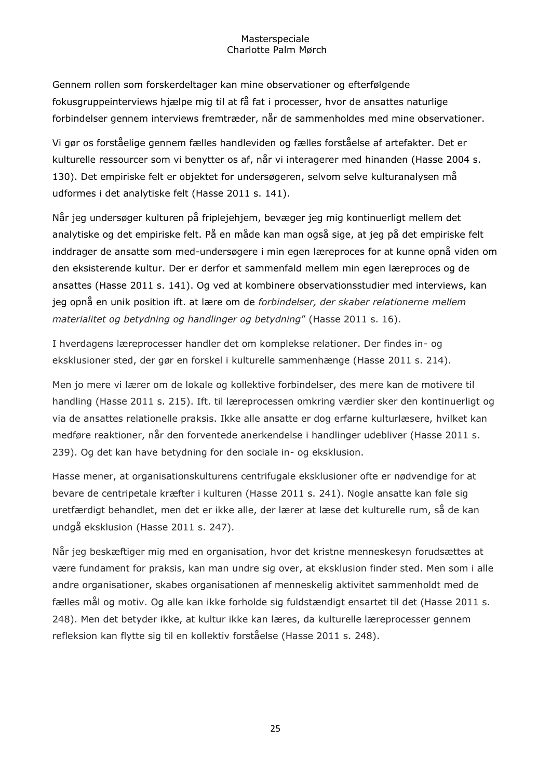Gennem rollen som forskerdeltager kan mine observationer og efterfølgende fokusgruppeinterviews hjælpe mig til at få fat i processer, hvor de ansattes naturlige forbindelser gennem interviews fremtræder, når de sammenholdes med mine observationer.

Vi gør os forståelige gennem fælles handleviden og fælles forståelse af artefakter. Det er kulturelle ressourcer som vi benytter os af, når vi interagerer med hinanden (Hasse 2004 s. 130). Det empiriske felt er objektet for undersøgeren, selvom selve kulturanalysen må udformes i det analytiske felt (Hasse 2011 s. 141).

Når jeg undersøger kulturen på friplejehjem, bevæger jeg mig kontinuerligt mellem det analytiske og det empiriske felt. På en måde kan man også sige, at jeg på det empiriske felt inddrager de ansatte som med-undersøgere i min egen læreproces for at kunne opnå viden om den eksisterende kultur. Der er derfor et sammenfald mellem min egen læreproces og de ansattes (Hasse 2011 s. 141). Og ved at kombinere observationsstudier med interviews, kan jeg opnå en unik position ift. at lære om de *forbindelser, der skaber relationerne mellem materialitet og betydning og handlinger og betydning*" (Hasse 2011 s. 16).

I hverdagens læreprocesser handler det om komplekse relationer. Der findes in- og eksklusioner sted, der gør en forskel i kulturelle sammenhænge (Hasse 2011 s. 214).

Men jo mere vi lærer om de lokale og kollektive forbindelser, des mere kan de motivere til handling (Hasse 2011 s. 215). Ift. til læreprocessen omkring værdier sker den kontinuerligt og via de ansattes relationelle praksis. Ikke alle ansatte er dog erfarne kulturlæsere, hvilket kan medføre reaktioner, når den forventede anerkendelse i handlinger udebliver (Hasse 2011 s. 239). Og det kan have betydning for den sociale in- og eksklusion.

Hasse mener, at organisationskulturens centrifugale eksklusioner ofte er nødvendige for at bevare de centripetale kræfter i kulturen (Hasse 2011 s. 241). Nogle ansatte kan føle sig uretfærdigt behandlet, men det er ikke alle, der lærer at læse det kulturelle rum, så de kan undgå eksklusion (Hasse 2011 s. 247).

Når jeg beskæftiger mig med en organisation, hvor det kristne menneskesyn forudsættes at være fundament for praksis, kan man undre sig over, at eksklusion finder sted. Men som i alle andre organisationer, skabes organisationen af menneskelig aktivitet sammenholdt med de fælles mål og motiv. Og alle kan ikke forholde sig fuldstændigt ensartet til det (Hasse 2011 s. 248). Men det betyder ikke, at kultur ikke kan læres, da kulturelle læreprocesser gennem refleksion kan flytte sig til en kollektiv forståelse (Hasse 2011 s. 248).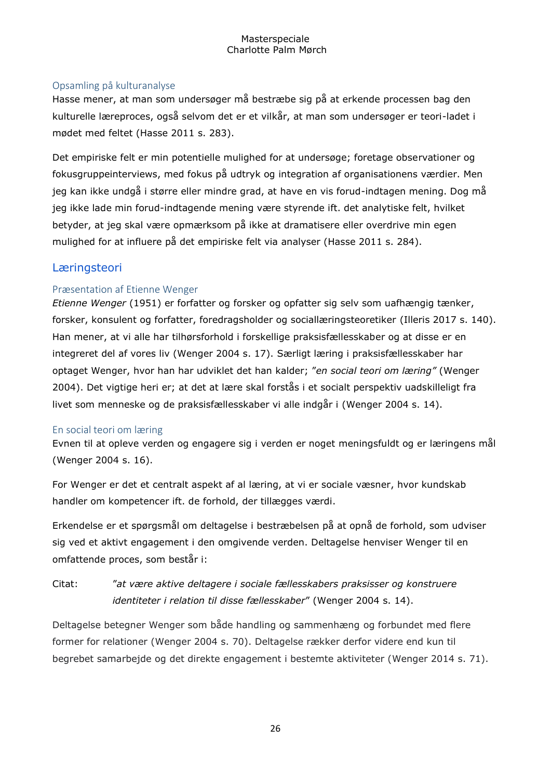#### <span id="page-26-0"></span>Opsamling på kulturanalyse

Hasse mener, at man som undersøger må bestræbe sig på at erkende processen bag den kulturelle læreproces, også selvom det er et vilkår, at man som undersøger er teori-ladet i mødet med feltet (Hasse 2011 s. 283).

Det empiriske felt er min potentielle mulighed for at undersøge; foretage observationer og fokusgruppeinterviews, med fokus på udtryk og integration af organisationens værdier. Men jeg kan ikke undgå i større eller mindre grad, at have en vis forud-indtagen mening. Dog må jeg ikke lade min forud-indtagende mening være styrende ift. det analytiske felt, hvilket betyder, at jeg skal være opmærksom på ikke at dramatisere eller overdrive min egen mulighed for at influere på det empiriske felt via analyser (Hasse 2011 s. 284).

#### <span id="page-26-1"></span>Læringsteori

#### <span id="page-26-2"></span>Præsentation af Etienne Wenger

*Etienne Wenger* (1951) er forfatter og forsker og opfatter sig selv som uafhængig tænker, forsker, konsulent og forfatter, foredragsholder og sociallæringsteoretiker (Illeris 2017 s. 140). Han mener, at vi alle har tilhørsforhold i forskellige praksisfællesskaber og at disse er en integreret del af vores liv (Wenger 2004 s. 17). Særligt læring i praksisfællesskaber har optaget Wenger, hvor han har udviklet det han kalder; "*en social teori om læring"* (Wenger 2004). Det vigtige heri er; at det at lære skal forstås i et socialt perspektiv uadskilleligt fra livet som menneske og de praksisfællesskaber vi alle indgår i (Wenger 2004 s. 14).

#### <span id="page-26-3"></span>En social teori om læring

Evnen til at opleve verden og engagere sig i verden er noget meningsfuldt og er læringens mål (Wenger 2004 s. 16).

For Wenger er det et centralt aspekt af al læring, at vi er sociale væsner, hvor kundskab handler om kompetencer ift. de forhold, der tillægges værdi.

Erkendelse er et spørgsmål om deltagelse i bestræbelsen på at opnå de forhold, som udviser sig ved et aktivt engagement i den omgivende verden. Deltagelse henviser Wenger til en omfattende proces, som består i:

## Citat: "*at være aktive deltagere i sociale fællesskabers praksisser og konstruere identiteter i relation til disse fællesskaber*" (Wenger 2004 s. 14).

Deltagelse betegner Wenger som både handling og sammenhæng og forbundet med flere former for relationer (Wenger 2004 s. 70). Deltagelse rækker derfor videre end kun til begrebet samarbejde og det direkte engagement i bestemte aktiviteter (Wenger 2014 s. 71).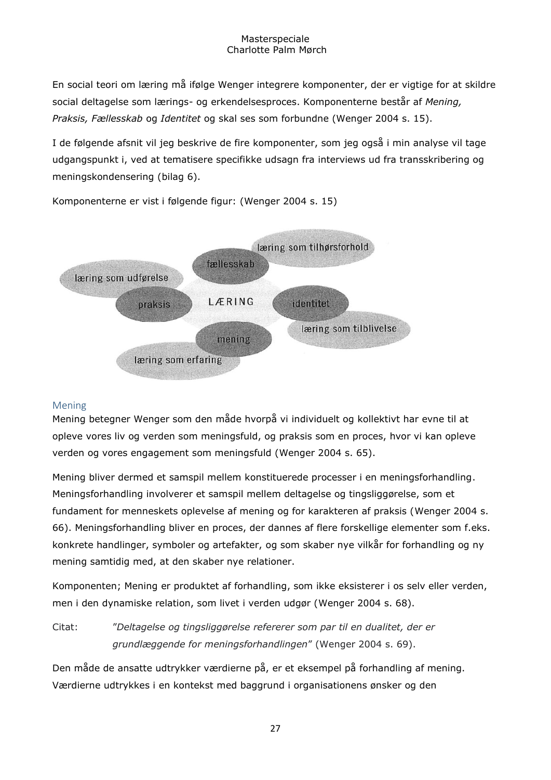En social teori om læring må ifølge Wenger integrere komponenter, der er vigtige for at skildre social deltagelse som lærings- og erkendelsesproces. Komponenterne består af *Mening, Praksis, Fællesskab* og *Identitet* og skal ses som forbundne (Wenger 2004 s. 15).

I de følgende afsnit vil jeg beskrive de fire komponenter, som jeg også i min analyse vil tage udgangspunkt i, ved at tematisere specifikke udsagn fra interviews ud fra transskribering og meningskondensering (bilag 6).



Komponenterne er vist i følgende figur: (Wenger 2004 s. 15)

## <span id="page-27-0"></span>Mening

Mening betegner Wenger som den måde hvorpå vi individuelt og kollektivt har evne til at opleve vores liv og verden som meningsfuld, og praksis som en proces, hvor vi kan opleve verden og vores engagement som meningsfuld (Wenger 2004 s. 65).

Mening bliver dermed et samspil mellem konstituerede processer i en meningsforhandling. Meningsforhandling involverer et samspil mellem deltagelse og tingsliggørelse, som et fundament for menneskets oplevelse af mening og for karakteren af praksis (Wenger 2004 s. 66). Meningsforhandling bliver en proces, der dannes af flere forskellige elementer som f.eks. konkrete handlinger, symboler og artefakter, og som skaber nye vilkår for forhandling og ny mening samtidig med, at den skaber nye relationer.

Komponenten; Mening er produktet af forhandling, som ikke eksisterer i os selv eller verden, men i den dynamiske relation, som livet i verden udgør (Wenger 2004 s. 68).

Citat: "*Deltagelse og tingsliggørelse refererer som par til en dualitet, der er grundlæggende for meningsforhandlingen*" (Wenger 2004 s. 69).

Den måde de ansatte udtrykker værdierne på, er et eksempel på forhandling af mening. Værdierne udtrykkes i en kontekst med baggrund i organisationens ønsker og den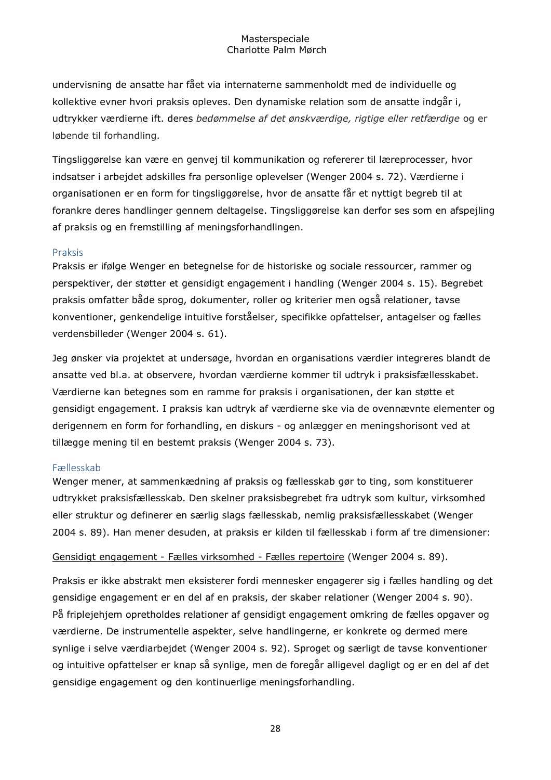undervisning de ansatte har fået via internaterne sammenholdt med de individuelle og kollektive evner hvori praksis opleves. Den dynamiske relation som de ansatte indgår i, udtrykker værdierne ift. deres *bedømmelse af det ønskværdige, rigtige eller retfærdige* og er løbende til forhandling.

Tingsliggørelse kan være en genvej til kommunikation og refererer til læreprocesser, hvor indsatser i arbejdet adskilles fra personlige oplevelser (Wenger 2004 s. 72). Værdierne i organisationen er en form for tingsliggørelse, hvor de ansatte får et nyttigt begreb til at forankre deres handlinger gennem deltagelse. Tingsliggørelse kan derfor ses som en afspejling af praksis og en fremstilling af meningsforhandlingen.

#### <span id="page-28-0"></span>Praksis

Praksis er ifølge Wenger en betegnelse for de historiske og sociale ressourcer, rammer og perspektiver, der støtter et gensidigt engagement i handling (Wenger 2004 s. 15). Begrebet praksis omfatter både sprog, dokumenter, roller og kriterier men også relationer, tavse konventioner, genkendelige intuitive forståelser, specifikke opfattelser, antagelser og fælles verdensbilleder (Wenger 2004 s. 61).

Jeg ønsker via projektet at undersøge, hvordan en organisations værdier integreres blandt de ansatte ved bl.a. at observere, hvordan værdierne kommer til udtryk i praksisfællesskabet. Værdierne kan betegnes som en ramme for praksis i organisationen, der kan støtte et gensidigt engagement. I praksis kan udtryk af værdierne ske via de ovennævnte elementer og derigennem en form for forhandling, en diskurs - og anlægger en meningshorisont ved at tillægge mening til en bestemt praksis (Wenger 2004 s. 73).

#### <span id="page-28-1"></span>Fællesskab

Wenger mener, at sammenkædning af praksis og fællesskab gør to ting, som konstituerer udtrykket praksisfællesskab. Den skelner praksisbegrebet fra udtryk som kultur, virksomhed eller struktur og definerer en særlig slags fællesskab, nemlig praksisfællesskabet (Wenger 2004 s. 89). Han mener desuden, at praksis er kilden til fællesskab i form af tre dimensioner:

#### Gensidigt engagement - Fælles virksomhed - Fælles repertoire (Wenger 2004 s. 89).

Praksis er ikke abstrakt men eksisterer fordi mennesker engagerer sig i fælles handling og det gensidige engagement er en del af en praksis, der skaber relationer (Wenger 2004 s. 90). På friplejehjem opretholdes relationer af gensidigt engagement omkring de fælles opgaver og værdierne. De instrumentelle aspekter, selve handlingerne, er konkrete og dermed mere synlige i selve værdiarbejdet (Wenger 2004 s. 92). Sproget og særligt de tavse konventioner og intuitive opfattelser er knap så synlige, men de foregår alligevel dagligt og er en del af det gensidige engagement og den kontinuerlige meningsforhandling.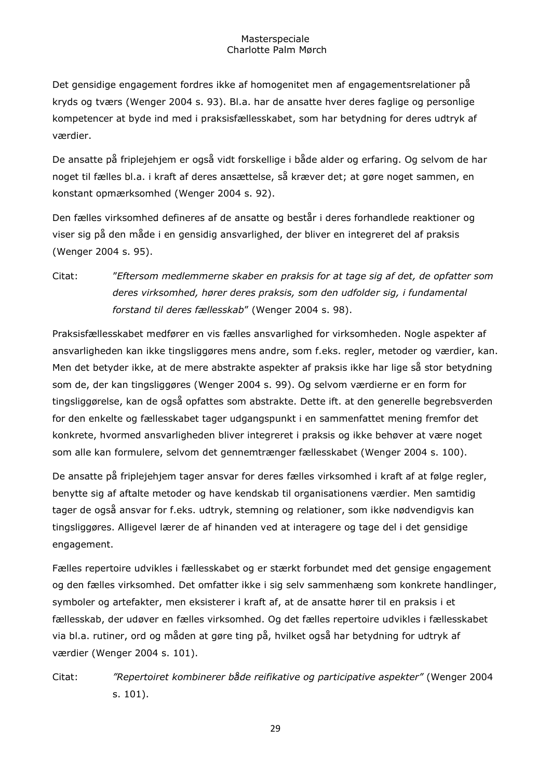Det gensidige engagement fordres ikke af homogenitet men af engagementsrelationer på kryds og tværs (Wenger 2004 s. 93). Bl.a. har de ansatte hver deres faglige og personlige kompetencer at byde ind med i praksisfællesskabet, som har betydning for deres udtryk af værdier.

De ansatte på friplejehjem er også vidt forskellige i både alder og erfaring. Og selvom de har noget til fælles bl.a. i kraft af deres ansættelse, så kræver det; at gøre noget sammen, en konstant opmærksomhed (Wenger 2004 s. 92).

Den fælles virksomhed defineres af de ansatte og består i deres forhandlede reaktioner og viser sig på den måde i en gensidig ansvarlighed, der bliver en integreret del af praksis (Wenger 2004 s. 95).

Citat: "*Eftersom medlemmerne skaber en praksis for at tage sig af det, de opfatter som deres virksomhed, hører deres praksis, som den udfolder sig, i fundamental forstand til deres fællesskab*" (Wenger 2004 s. 98).

Praksisfællesskabet medfører en vis fælles ansvarlighed for virksomheden. Nogle aspekter af ansvarligheden kan ikke tingsliggøres mens andre, som f.eks. regler, metoder og værdier, kan. Men det betyder ikke, at de mere abstrakte aspekter af praksis ikke har lige så stor betydning som de, der kan tingsliggøres (Wenger 2004 s. 99). Og selvom værdierne er en form for tingsliggørelse, kan de også opfattes som abstrakte. Dette ift. at den generelle begrebsverden for den enkelte og fællesskabet tager udgangspunkt i en sammenfattet mening fremfor det konkrete, hvormed ansvarligheden bliver integreret i praksis og ikke behøver at være noget som alle kan formulere, selvom det gennemtrænger fællesskabet (Wenger 2004 s. 100).

De ansatte på friplejehjem tager ansvar for deres fælles virksomhed i kraft af at følge regler, benytte sig af aftalte metoder og have kendskab til organisationens værdier. Men samtidig tager de også ansvar for f.eks. udtryk, stemning og relationer, som ikke nødvendigvis kan tingsliggøres. Alligevel lærer de af hinanden ved at interagere og tage del i det gensidige engagement.

Fælles repertoire udvikles i fællesskabet og er stærkt forbundet med det gensige engagement og den fælles virksomhed. Det omfatter ikke i sig selv sammenhæng som konkrete handlinger, symboler og artefakter, men eksisterer i kraft af, at de ansatte hører til en praksis i et fællesskab, der udøver en fælles virksomhed. Og det fælles repertoire udvikles i fællesskabet via bl.a. rutiner, ord og måden at gøre ting på, hvilket også har betydning for udtryk af værdier (Wenger 2004 s. 101).

Citat: *"Repertoiret kombinerer både reifikative og participative aspekter"* (Wenger 2004 s. 101).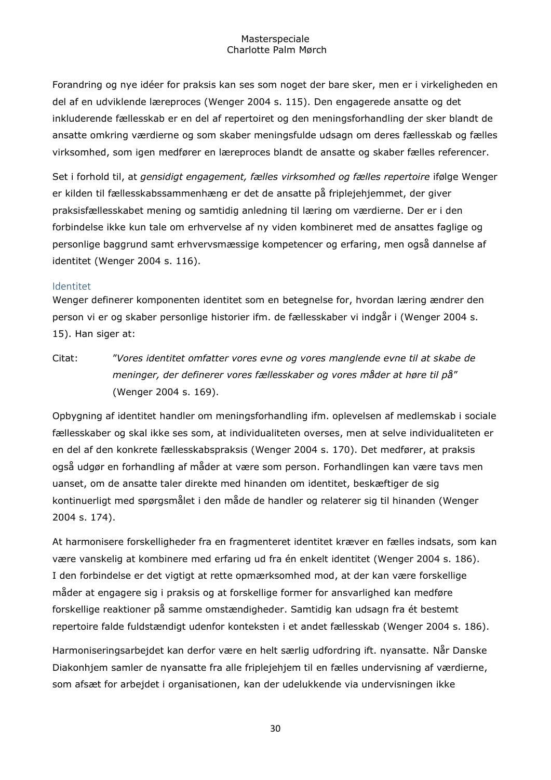Forandring og nye idéer for praksis kan ses som noget der bare sker, men er i virkeligheden en del af en udviklende læreproces (Wenger 2004 s. 115). Den engagerede ansatte og det inkluderende fællesskab er en del af repertoiret og den meningsforhandling der sker blandt de ansatte omkring værdierne og som skaber meningsfulde udsagn om deres fællesskab og fælles virksomhed, som igen medfører en læreproces blandt de ansatte og skaber fælles referencer.

Set i forhold til, at *gensidigt engagement, fælles virksomhed og fælles repertoire* ifølge Wenger er kilden til fællesskabssammenhæng er det de ansatte på friplejehjemmet, der giver praksisfællesskabet mening og samtidig anledning til læring om værdierne. Der er i den forbindelse ikke kun tale om erhvervelse af ny viden kombineret med de ansattes faglige og personlige baggrund samt erhvervsmæssige kompetencer og erfaring, men også dannelse af identitet (Wenger 2004 s. 116).

#### <span id="page-30-0"></span>Identitet

Wenger definerer komponenten identitet som en betegnelse for, hvordan læring ændrer den person vi er og skaber personlige historier ifm. de fællesskaber vi indgår i (Wenger 2004 s. 15). Han siger at:

Citat: "*Vores identitet omfatter vores evne og vores manglende evne til at skabe de meninger, der definerer vores fællesskaber og vores måder at høre til på*" (Wenger 2004 s. 169).

Opbygning af identitet handler om meningsforhandling ifm. oplevelsen af medlemskab i sociale fællesskaber og skal ikke ses som, at individualiteten overses, men at selve individualiteten er en del af den konkrete fællesskabspraksis (Wenger 2004 s. 170). Det medfører, at praksis også udgør en forhandling af måder at være som person. Forhandlingen kan være tavs men uanset, om de ansatte taler direkte med hinanden om identitet, beskæftiger de sig kontinuerligt med spørgsmålet i den måde de handler og relaterer sig til hinanden (Wenger 2004 s. 174).

At harmonisere forskelligheder fra en fragmenteret identitet kræver en fælles indsats, som kan være vanskelig at kombinere med erfaring ud fra én enkelt identitet (Wenger 2004 s. 186). I den forbindelse er det vigtigt at rette opmærksomhed mod, at der kan være forskellige måder at engagere sig i praksis og at forskellige former for ansvarlighed kan medføre forskellige reaktioner på samme omstændigheder. Samtidig kan udsagn fra ét bestemt repertoire falde fuldstændigt udenfor konteksten i et andet fællesskab (Wenger 2004 s. 186).

Harmoniseringsarbejdet kan derfor være en helt særlig udfordring ift. nyansatte. Når Danske Diakonhjem samler de nyansatte fra alle friplejehjem til en fælles undervisning af værdierne, som afsæt for arbejdet i organisationen, kan der udelukkende via undervisningen ikke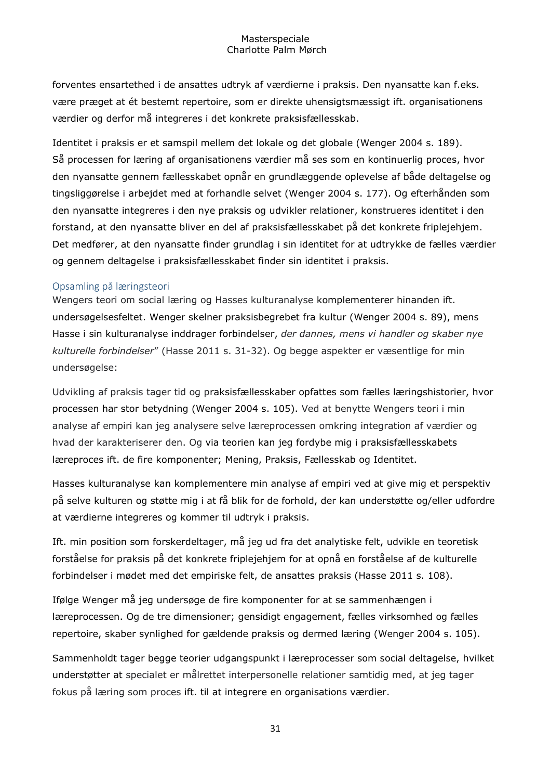forventes ensartethed i de ansattes udtryk af værdierne i praksis. Den nyansatte kan f.eks. være præget at ét bestemt repertoire, som er direkte uhensigtsmæssigt ift. organisationens værdier og derfor må integreres i det konkrete praksisfællesskab.

Identitet i praksis er et samspil mellem det lokale og det globale (Wenger 2004 s. 189). Så processen for læring af organisationens værdier må ses som en kontinuerlig proces, hvor den nyansatte gennem fællesskabet opnår en grundlæggende oplevelse af både deltagelse og tingsliggørelse i arbejdet med at forhandle selvet (Wenger 2004 s. 177). Og efterhånden som den nyansatte integreres i den nye praksis og udvikler relationer, konstrueres identitet i den forstand, at den nyansatte bliver en del af praksisfællesskabet på det konkrete friplejehjem. Det medfører, at den nyansatte finder grundlag i sin identitet for at udtrykke de fælles værdier og gennem deltagelse i praksisfællesskabet finder sin identitet i praksis.

#### <span id="page-31-0"></span>Opsamling på læringsteori

Wengers teori om social læring og Hasses kulturanalyse komplementerer hinanden ift. undersøgelsesfeltet. Wenger skelner praksisbegrebet fra kultur (Wenger 2004 s. 89), mens Hasse i sin kulturanalyse inddrager forbindelser, *der dannes, mens vi handler og skaber nye kulturelle forbindelser*" (Hasse 2011 s. 31-32). Og begge aspekter er væsentlige for min undersøgelse:

Udvikling af praksis tager tid og praksisfællesskaber opfattes som fælles læringshistorier, hvor processen har stor betydning (Wenger 2004 s. 105). Ved at benytte Wengers teori i min analyse af empiri kan jeg analysere selve læreprocessen omkring integration af værdier og hvad der karakteriserer den. Og via teorien kan jeg fordybe mig i praksisfællesskabets læreproces ift. de fire komponenter; Mening, Praksis, Fællesskab og Identitet.

Hasses kulturanalyse kan komplementere min analyse af empiri ved at give mig et perspektiv på selve kulturen og støtte mig i at få blik for de forhold, der kan understøtte og/eller udfordre at værdierne integreres og kommer til udtryk i praksis.

Ift. min position som forskerdeltager, må jeg ud fra det analytiske felt, udvikle en teoretisk forståelse for praksis på det konkrete friplejehjem for at opnå en forståelse af de kulturelle forbindelser i mødet med det empiriske felt, de ansattes praksis (Hasse 2011 s. 108).

Ifølge Wenger må jeg undersøge de fire komponenter for at se sammenhængen i læreprocessen. Og de tre dimensioner; gensidigt engagement, fælles virksomhed og fælles repertoire, skaber synlighed for gældende praksis og dermed læring (Wenger 2004 s. 105).

Sammenholdt tager begge teorier udgangspunkt i læreprocesser som social deltagelse, hvilket understøtter at specialet er målrettet interpersonelle relationer samtidig med, at jeg tager fokus på læring som proces ift. til at integrere en organisations værdier.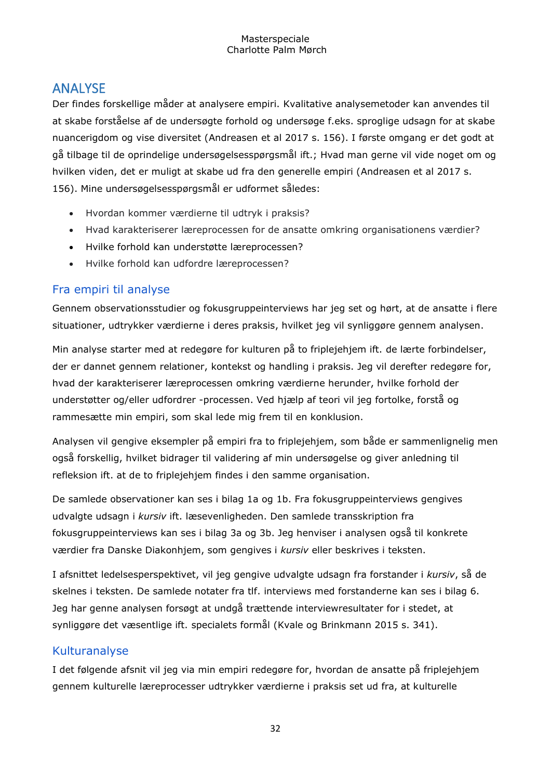## <span id="page-32-0"></span>ANALYSE

Der findes forskellige måder at analysere empiri. Kvalitative analysemetoder kan anvendes til at skabe forståelse af de undersøgte forhold og undersøge f.eks. sproglige udsagn for at skabe nuancerigdom og vise diversitet (Andreasen et al 2017 s. 156). I første omgang er det godt at gå tilbage til de oprindelige undersøgelsesspørgsmål ift.; Hvad man gerne vil vide noget om og hvilken viden, det er muligt at skabe ud fra den generelle empiri (Andreasen et al 2017 s. 156). Mine undersøgelsesspørgsmål er udformet således:

- Hvordan kommer værdierne til udtryk i praksis?
- Hvad karakteriserer læreprocessen for de ansatte omkring organisationens værdier?
- Hvilke forhold kan understøtte læreprocessen?
- Hvilke forhold kan udfordre læreprocessen?

## <span id="page-32-1"></span>Fra empiri til analyse

Gennem observationsstudier og fokusgruppeinterviews har jeg set og hørt, at de ansatte i flere situationer, udtrykker værdierne i deres praksis, hvilket jeg vil synliggøre gennem analysen.

Min analyse starter med at redegøre for kulturen på to friplejehjem ift. de lærte forbindelser, der er dannet gennem relationer, kontekst og handling i praksis. Jeg vil derefter redegøre for, hvad der karakteriserer læreprocessen omkring værdierne herunder, hvilke forhold der understøtter og/eller udfordrer -processen. Ved hjælp af teori vil jeg fortolke, forstå og rammesætte min empiri, som skal lede mig frem til en konklusion.

Analysen vil gengive eksempler på empiri fra to friplejehjem, som både er sammenlignelig men også forskellig, hvilket bidrager til validering af min undersøgelse og giver anledning til refleksion ift. at de to friplejehjem findes i den samme organisation.

De samlede observationer kan ses i bilag 1a og 1b. Fra fokusgruppeinterviews gengives udvalgte udsagn i *kursiv* ift. læsevenligheden. Den samlede transskription fra fokusgruppeinterviews kan ses i bilag 3a og 3b. Jeg henviser i analysen også til konkrete værdier fra Danske Diakonhjem, som gengives i *kursiv* eller beskrives i teksten.

I afsnittet ledelsesperspektivet, vil jeg gengive udvalgte udsagn fra forstander i *kursiv*, så de skelnes i teksten. De samlede notater fra tlf. interviews med forstanderne kan ses i bilag 6. Jeg har genne analysen forsøgt at undgå trættende interviewresultater for i stedet, at synliggøre det væsentlige ift. specialets formål (Kvale og Brinkmann 2015 s. 341).

## <span id="page-32-2"></span>Kulturanalyse

I det følgende afsnit vil jeg via min empiri redegøre for, hvordan de ansatte på friplejehjem gennem kulturelle læreprocesser udtrykker værdierne i praksis set ud fra, at kulturelle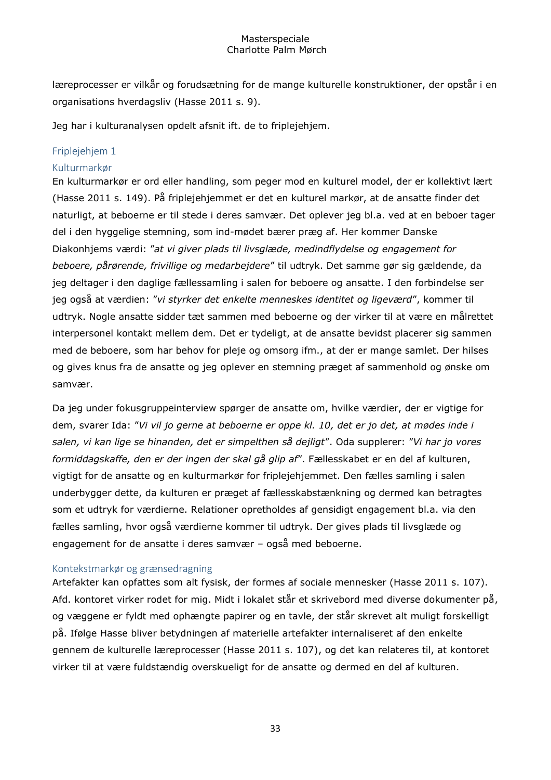læreprocesser er vilkår og forudsætning for de mange kulturelle konstruktioner, der opstår i en organisations hverdagsliv (Hasse 2011 s. 9).

Jeg har i kulturanalysen opdelt afsnit ift. de to friplejehjem.

#### <span id="page-33-0"></span>Friplejehjem 1

#### <span id="page-33-1"></span>Kulturmarkør

En kulturmarkør er ord eller handling, som peger mod en kulturel model, der er kollektivt lært (Hasse 2011 s. 149). På friplejehjemmet er det en kulturel markør, at de ansatte finder det naturligt, at beboerne er til stede i deres samvær. Det oplever jeg bl.a. ved at en beboer tager del i den hyggelige stemning, som ind-mødet bærer præg af. Her kommer Danske Diakonhjems værdi: "*at vi giver plads til livsglæde, medindflydelse og engagement for beboere, pårørende, frivillige og medarbejdere*" til udtryk. Det samme gør sig gældende, da jeg deltager i den daglige fællessamling i salen for beboere og ansatte. I den forbindelse ser jeg også at værdien: "*vi styrker det enkelte menneskes identitet og ligeværd*", kommer til udtryk. Nogle ansatte sidder tæt sammen med beboerne og der virker til at være en målrettet interpersonel kontakt mellem dem. Det er tydeligt, at de ansatte bevidst placerer sig sammen med de beboere, som har behov for pleje og omsorg ifm., at der er mange samlet. Der hilses og gives knus fra de ansatte og jeg oplever en stemning præget af sammenhold og ønske om samvær.

Da jeg under fokusgruppeinterview spørger de ansatte om, hvilke værdier, der er vigtige for dem, svarer Ida: "*Vi vil jo gerne at beboerne er oppe kl. 10, det er jo det, at mødes inde i salen, vi kan lige se hinanden, det er simpelthen så dejligt*". Oda supplerer: "*Vi har jo vores formiddagskaffe, den er der ingen der skal gå glip af*". Fællesskabet er en del af kulturen, vigtigt for de ansatte og en kulturmarkør for friplejehjemmet. Den fælles samling i salen underbygger dette, da kulturen er præget af fællesskabstænkning og dermed kan betragtes som et udtryk for værdierne. Relationer opretholdes af gensidigt engagement bl.a. via den fælles samling, hvor også værdierne kommer til udtryk. Der gives plads til livsglæde og engagement for de ansatte i deres samvær – også med beboerne.

#### <span id="page-33-2"></span>Kontekstmarkør og grænsedragning

Artefakter kan opfattes som alt fysisk, der formes af sociale mennesker (Hasse 2011 s. 107). Afd. kontoret virker rodet for mig. Midt i lokalet står et skrivebord med diverse dokumenter på, og væggene er fyldt med ophængte papirer og en tavle, der står skrevet alt muligt forskelligt på. Ifølge Hasse bliver betydningen af materielle artefakter internaliseret af den enkelte gennem de kulturelle læreprocesser (Hasse 2011 s. 107), og det kan relateres til, at kontoret virker til at være fuldstændig overskueligt for de ansatte og dermed en del af kulturen.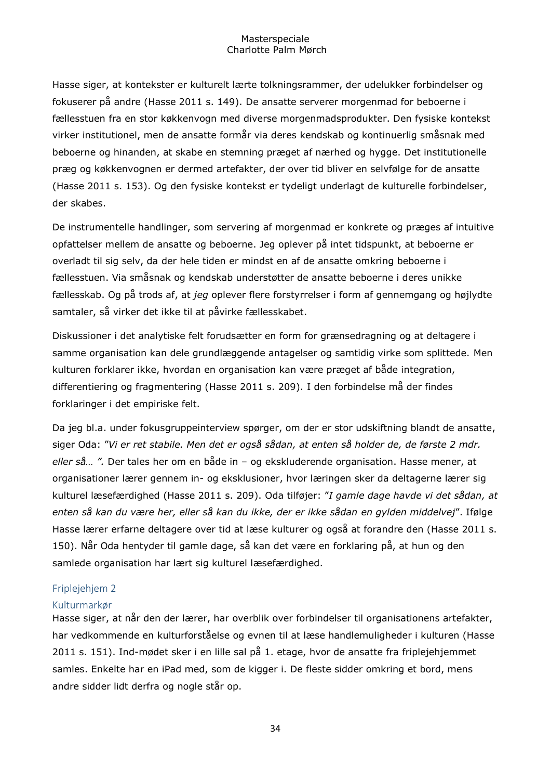Hasse siger, at kontekster er kulturelt lærte tolkningsrammer, der udelukker forbindelser og fokuserer på andre (Hasse 2011 s. 149). De ansatte serverer morgenmad for beboerne i fællesstuen fra en stor køkkenvogn med diverse morgenmadsprodukter. Den fysiske kontekst virker institutionel, men de ansatte formår via deres kendskab og kontinuerlig småsnak med beboerne og hinanden, at skabe en stemning præget af nærhed og hygge. Det institutionelle præg og køkkenvognen er dermed artefakter, der over tid bliver en selvfølge for de ansatte (Hasse 2011 s. 153). Og den fysiske kontekst er tydeligt underlagt de kulturelle forbindelser, der skabes.

De instrumentelle handlinger, som servering af morgenmad er konkrete og præges af intuitive opfattelser mellem de ansatte og beboerne. Jeg oplever på intet tidspunkt, at beboerne er overladt til sig selv, da der hele tiden er mindst en af de ansatte omkring beboerne i fællesstuen. Via småsnak og kendskab understøtter de ansatte beboerne i deres unikke fællesskab. Og på trods af, at *jeg* oplever flere forstyrrelser i form af gennemgang og højlydte samtaler, så virker det ikke til at påvirke fællesskabet.

Diskussioner i det analytiske felt forudsætter en form for grænsedragning og at deltagere i samme organisation kan dele grundlæggende antagelser og samtidig virke som splittede. Men kulturen forklarer ikke, hvordan en organisation kan være præget af både integration, differentiering og fragmentering (Hasse 2011 s. 209). I den forbindelse må der findes forklaringer i det empiriske felt.

Da jeg bl.a. under fokusgruppeinterview spørger, om der er stor udskiftning blandt de ansatte, siger Oda: "*Vi er ret stabile. Men det er også sådan, at enten så holder de, de første 2 mdr. eller så… ".* Der tales her om en både in – og ekskluderende organisation. Hasse mener, at organisationer lærer gennem in- og eksklusioner, hvor læringen sker da deltagerne lærer sig kulturel læsefærdighed (Hasse 2011 s. 209). Oda tilføjer: "*I gamle dage havde vi det sådan, at enten så kan du være her, eller så kan du ikke, der er ikke sådan en gylden middelvej*". Ifølge Hasse lærer erfarne deltagere over tid at læse kulturer og også at forandre den (Hasse 2011 s. 150). Når Oda hentyder til gamle dage, så kan det være en forklaring på, at hun og den samlede organisation har lært sig kulturel læsefærdighed.

#### <span id="page-34-0"></span>Friplejehjem 2

#### <span id="page-34-1"></span>Kulturmarkør

Hasse siger, at når den der lærer, har overblik over forbindelser til organisationens artefakter, har vedkommende en kulturforståelse og evnen til at læse handlemuligheder i kulturen (Hasse 2011 s. 151). Ind-mødet sker i en lille sal på 1. etage, hvor de ansatte fra friplejehjemmet samles. Enkelte har en iPad med, som de kigger i. De fleste sidder omkring et bord, mens andre sidder lidt derfra og nogle står op.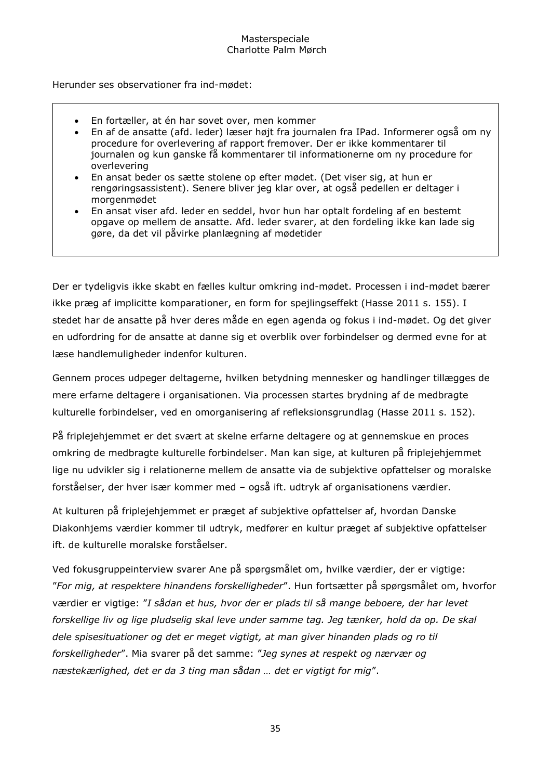#### Herunder ses observationer fra ind-mødet:

- En fortæller, at én har sovet over, men kommer
- En af de ansatte (afd. leder) læser højt fra journalen fra IPad. Informerer også om ny procedure for overlevering af rapport fremover. Der er ikke kommentarer til journalen og kun ganske få kommentarer til informationerne om ny procedure for overlevering
- En ansat beder os sætte stolene op efter mødet. (Det viser sig, at hun er rengøringsassistent). Senere bliver jeg klar over, at også pedellen er deltager i morgenmødet
- En ansat viser afd. leder en seddel, hvor hun har optalt fordeling af en bestemt opgave op mellem de ansatte. Afd. leder svarer, at den fordeling ikke kan lade sig gøre, da det vil påvirke planlægning af mødetider

Der er tydeligvis ikke skabt en fælles kultur omkring ind-mødet. Processen i ind-mødet bærer ikke præg af implicitte komparationer, en form for spejlingseffekt (Hasse 2011 s. 155). I stedet har de ansatte på hver deres måde en egen agenda og fokus i ind-mødet. Og det giver en udfordring for de ansatte at danne sig et overblik over forbindelser og dermed evne for at læse handlemuligheder indenfor kulturen.

Gennem proces udpeger deltagerne, hvilken betydning mennesker og handlinger tillægges de mere erfarne deltagere i organisationen. Via processen startes brydning af de medbragte kulturelle forbindelser, ved en omorganisering af refleksionsgrundlag (Hasse 2011 s. 152).

På friplejehjemmet er det svært at skelne erfarne deltagere og at gennemskue en proces omkring de medbragte kulturelle forbindelser. Man kan sige, at kulturen på friplejehjemmet lige nu udvikler sig i relationerne mellem de ansatte via de subjektive opfattelser og moralske forståelser, der hver især kommer med – også ift. udtryk af organisationens værdier.

At kulturen på friplejehjemmet er præget af subjektive opfattelser af, hvordan Danske Diakonhjems værdier kommer til udtryk, medfører en kultur præget af subjektive opfattelser ift. de kulturelle moralske forståelser.

Ved fokusgruppeinterview svarer Ane på spørgsmålet om, hvilke værdier, der er vigtige: "*For mig, at respektere hinandens forskelligheder*". Hun fortsætter på spørgsmålet om, hvorfor værdier er vigtige: "*I sådan et hus, hvor der er plads til så mange beboere, der har levet forskellige liv og lige pludselig skal leve under samme tag. Jeg tænker, hold da op. De skal dele spisesituationer og det er meget vigtigt, at man giver hinanden plads og ro til forskelligheder*". Mia svarer på det samme: "*Jeg synes at respekt og nærvær og næstekærlighed, det er da 3 ting man sådan … det er vigtigt for mig*".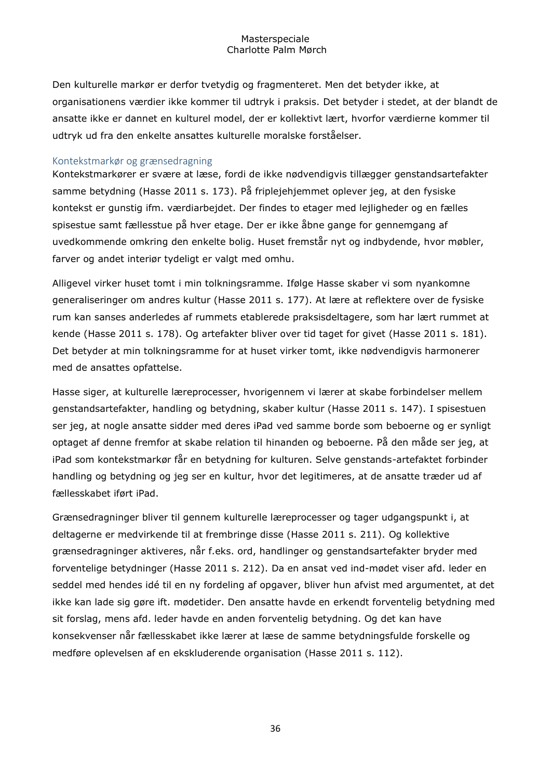Den kulturelle markør er derfor tvetydig og fragmenteret. Men det betyder ikke, at organisationens værdier ikke kommer til udtryk i praksis. Det betyder i stedet, at der blandt de ansatte ikke er dannet en kulturel model, der er kollektivt lært, hvorfor værdierne kommer til udtryk ud fra den enkelte ansattes kulturelle moralske forståelser.

#### <span id="page-36-0"></span>Kontekstmarkør og grænsedragning

Kontekstmarkører er svære at læse, fordi de ikke nødvendigvis tillægger genstandsartefakter samme betydning (Hasse 2011 s. 173). På friplejehjemmet oplever jeg, at den fysiske kontekst er gunstig ifm. værdiarbejdet. Der findes to etager med lejligheder og en fælles spisestue samt fællesstue på hver etage. Der er ikke åbne gange for gennemgang af uvedkommende omkring den enkelte bolig. Huset fremstår nyt og indbydende, hvor møbler, farver og andet interiør tydeligt er valgt med omhu.

Alligevel virker huset tomt i min tolkningsramme. Ifølge Hasse skaber vi som nyankomne generaliseringer om andres kultur (Hasse 2011 s. 177). At lære at reflektere over de fysiske rum kan sanses anderledes af rummets etablerede praksisdeltagere, som har lært rummet at kende (Hasse 2011 s. 178). Og artefakter bliver over tid taget for givet (Hasse 2011 s. 181). Det betyder at min tolkningsramme for at huset virker tomt, ikke nødvendigvis harmonerer med de ansattes opfattelse.

Hasse siger, at kulturelle læreprocesser, hvorigennem vi lærer at skabe forbindelser mellem genstandsartefakter, handling og betydning, skaber kultur (Hasse 2011 s. 147). I spisestuen ser jeg, at nogle ansatte sidder med deres iPad ved samme borde som beboerne og er synligt optaget af denne fremfor at skabe relation til hinanden og beboerne. På den måde ser jeg, at iPad som kontekstmarkør får en betydning for kulturen. Selve genstands-artefaktet forbinder handling og betydning og jeg ser en kultur, hvor det legitimeres, at de ansatte træder ud af fællesskabet iført iPad.

Grænsedragninger bliver til gennem kulturelle læreprocesser og tager udgangspunkt i, at deltagerne er medvirkende til at frembringe disse (Hasse 2011 s. 211). Og kollektive grænsedragninger aktiveres, når f.eks. ord, handlinger og genstandsartefakter bryder med forventelige betydninger (Hasse 2011 s. 212). Da en ansat ved ind-mødet viser afd. leder en seddel med hendes idé til en ny fordeling af opgaver, bliver hun afvist med argumentet, at det ikke kan lade sig gøre ift. mødetider. Den ansatte havde en erkendt forventelig betydning med sit forslag, mens afd. leder havde en anden forventelig betydning. Og det kan have konsekvenser når fællesskabet ikke lærer at læse de samme betydningsfulde forskelle og medføre oplevelsen af en ekskluderende organisation (Hasse 2011 s. 112).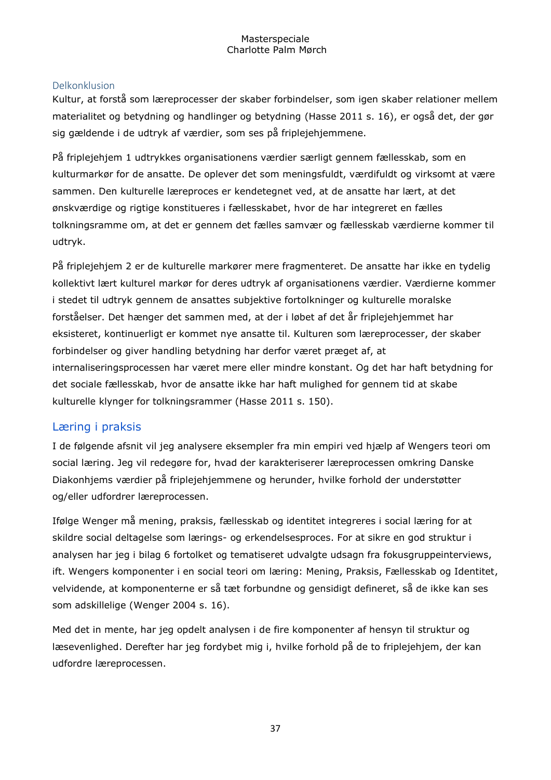#### <span id="page-37-0"></span>Delkonklusion

Kultur, at forstå som læreprocesser der skaber forbindelser, som igen skaber relationer mellem materialitet og betydning og handlinger og betydning (Hasse 2011 s. 16), er også det, der gør sig gældende i de udtryk af værdier, som ses på friplejehjemmene.

På friplejehjem 1 udtrykkes organisationens værdier særligt gennem fællesskab, som en kulturmarkør for de ansatte. De oplever det som meningsfuldt, værdifuldt og virksomt at være sammen. Den kulturelle læreproces er kendetegnet ved, at de ansatte har lært, at det ønskværdige og rigtige konstitueres i fællesskabet, hvor de har integreret en fælles tolkningsramme om, at det er gennem det fælles samvær og fællesskab værdierne kommer til udtryk.

På friplejehjem 2 er de kulturelle markører mere fragmenteret. De ansatte har ikke en tydelig kollektivt lært kulturel markør for deres udtryk af organisationens værdier. Værdierne kommer i stedet til udtryk gennem de ansattes subjektive fortolkninger og kulturelle moralske forståelser. Det hænger det sammen med, at der i løbet af det år friplejehjemmet har eksisteret, kontinuerligt er kommet nye ansatte til. Kulturen som læreprocesser, der skaber forbindelser og giver handling betydning har derfor været præget af, at internaliseringsprocessen har været mere eller mindre konstant. Og det har haft betydning for det sociale fællesskab, hvor de ansatte ikke har haft mulighed for gennem tid at skabe kulturelle klynger for tolkningsrammer (Hasse 2011 s. 150).

#### <span id="page-37-1"></span>Læring i praksis

I de følgende afsnit vil jeg analysere eksempler fra min empiri ved hjælp af Wengers teori om social læring. Jeg vil redegøre for, hvad der karakteriserer læreprocessen omkring Danske Diakonhjems værdier på friplejehjemmene og herunder, hvilke forhold der understøtter og/eller udfordrer læreprocessen.

Ifølge Wenger må mening, praksis, fællesskab og identitet integreres i social læring for at skildre social deltagelse som lærings- og erkendelsesproces. For at sikre en god struktur i analysen har jeg i bilag 6 fortolket og tematiseret udvalgte udsagn fra fokusgruppeinterviews, ift. Wengers komponenter i en social teori om læring: Mening, Praksis, Fællesskab og Identitet, velvidende, at komponenterne er så tæt forbundne og gensidigt defineret, så de ikke kan ses som adskillelige (Wenger 2004 s. 16).

Med det in mente, har jeg opdelt analysen i de fire komponenter af hensyn til struktur og læsevenlighed. Derefter har jeg fordybet mig i, hvilke forhold på de to friplejehjem, der kan udfordre læreprocessen.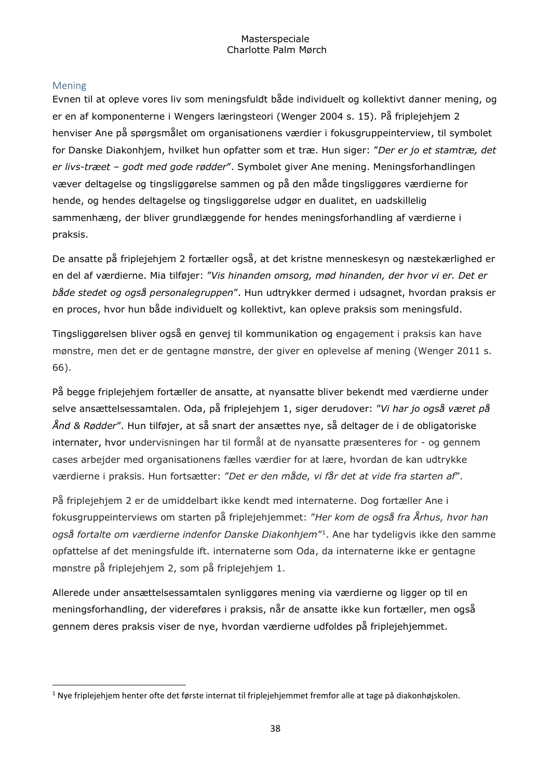#### <span id="page-38-0"></span>Mening

Evnen til at opleve vores liv som meningsfuldt både individuelt og kollektivt danner mening, og er en af komponenterne i Wengers læringsteori (Wenger 2004 s. 15). På friplejehjem 2 henviser Ane på spørgsmålet om organisationens værdier i fokusgruppeinterview, til symbolet for Danske Diakonhjem, hvilket hun opfatter som et træ. Hun siger: "*Der er jo et stamtræ, det er livs-træet – godt med gode rødder*". Symbolet giver Ane mening. Meningsforhandlingen væver deltagelse og tingsliggørelse sammen og på den måde tingsliggøres værdierne for hende, og hendes deltagelse og tingsliggørelse udgør en dualitet, en uadskillelig sammenhæng, der bliver grundlæggende for hendes meningsforhandling af værdierne i praksis.

De ansatte på friplejehjem 2 fortæller også, at det kristne menneskesyn og næstekærlighed er en del af værdierne. Mia tilføjer: "*Vis hinanden omsorg, mød hinanden, der hvor vi er. Det er både stedet og også personalegruppen*". Hun udtrykker dermed i udsagnet, hvordan praksis er en proces, hvor hun både individuelt og kollektivt, kan opleve praksis som meningsfuld.

Tingsliggørelsen bliver også en genvej til kommunikation og engagement i praksis kan have mønstre, men det er de gentagne mønstre, der giver en oplevelse af mening (Wenger 2011 s. 66).

På begge friplejehjem fortæller de ansatte, at nyansatte bliver bekendt med værdierne under selve ansættelsessamtalen. Oda, på friplejehjem 1, siger derudover: "*Vi har jo også været på Ånd & Rødder*". Hun tilføjer, at så snart der ansættes nye, så deltager de i de obligatoriske internater, hvor undervisningen har til formål at de nyansatte præsenteres for - og gennem cases arbejder med organisationens fælles værdier for at lære, hvordan de kan udtrykke værdierne i praksis. Hun fortsætter: "*Det er den måde, vi får det at vide fra starten af*".

På friplejehjem 2 er de umiddelbart ikke kendt med internaterne. Dog fortæller Ane i fokusgruppeinterviews om starten på friplejehjemmet: "*Her kom de også fra Århus, hvor han også fortalte om værdierne indenfor Danske Diakonhjem*" 1 . Ane har tydeligvis ikke den samme opfattelse af det meningsfulde ift. internaterne som Oda, da internaterne ikke er gentagne mønstre på friplejehjem 2, som på friplejehjem 1.

Allerede under ansættelsessamtalen synliggøres mening via værdierne og ligger op til en meningsforhandling, der videreføres i praksis, når de ansatte ikke kun fortæller, men også gennem deres praksis viser de nye, hvordan værdierne udfoldes på friplejehjemmet.

<sup>&</sup>lt;sup>1</sup> Nye friplejehjem henter ofte det første internat til friplejehjemmet fremfor alle at tage på diakonhøjskolen.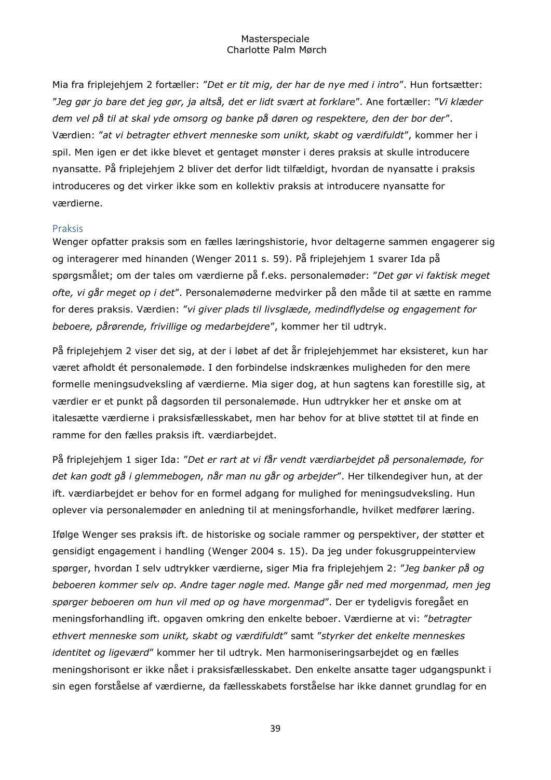Mia fra friplejehjem 2 fortæller: "*Det er tit mig, der har de nye med i intro*". Hun fortsætter: "*Jeg gør jo bare det jeg gør, ja altså, det er lidt svært at forklare*". Ane fortæller: "*Vi klæder dem vel på til at skal yde omsorg og banke på døren og respektere, den der bor der*". Værdien: "*at vi betragter ethvert menneske som unikt, skabt og værdifuldt*", kommer her i spil. Men igen er det ikke blevet et gentaget mønster i deres praksis at skulle introducere nyansatte. På friplejehjem 2 bliver det derfor lidt tilfældigt, hvordan de nyansatte i praksis introduceres og det virker ikke som en kollektiv praksis at introducere nyansatte for værdierne.

#### <span id="page-39-0"></span>Praksis

Wenger opfatter praksis som en fælles læringshistorie, hvor deltagerne sammen engagerer sig og interagerer med hinanden (Wenger 2011 s. 59). På friplejehjem 1 svarer Ida på spørgsmålet; om der tales om værdierne på f.eks. personalemøder: "*Det gør vi faktisk meget ofte, vi går meget op i det*". Personalemøderne medvirker på den måde til at sætte en ramme for deres praksis. Værdien: "*vi giver plads til livsglæde, medindflydelse og engagement for beboere, pårørende, frivillige og medarbejdere*", kommer her til udtryk.

På friplejehjem 2 viser det sig, at der i løbet af det år friplejehjemmet har eksisteret, kun har været afholdt ét personalemøde. I den forbindelse indskrænkes muligheden for den mere formelle meningsudveksling af værdierne. Mia siger dog, at hun sagtens kan forestille sig, at værdier er et punkt på dagsorden til personalemøde. Hun udtrykker her et ønske om at italesætte værdierne i praksisfællesskabet, men har behov for at blive støttet til at finde en ramme for den fælles praksis ift. værdiarbejdet.

På friplejehjem 1 siger Ida: "*Det er rart at vi får vendt værdiarbejdet på personalemøde, for det kan godt gå i glemmebogen, når man nu går og arbejder*". Her tilkendegiver hun, at der ift. værdiarbejdet er behov for en formel adgang for mulighed for meningsudveksling. Hun oplever via personalemøder en anledning til at meningsforhandle, hvilket medfører læring.

Ifølge Wenger ses praksis ift. de historiske og sociale rammer og perspektiver, der støtter et gensidigt engagement i handling (Wenger 2004 s. 15). Da jeg under fokusgruppeinterview spørger, hvordan I selv udtrykker værdierne, siger Mia fra friplejehjem 2: "*Jeg banker på og beboeren kommer selv op. Andre tager nøgle med. Mange går ned med morgenmad, men jeg spørger beboeren om hun vil med op og have morgenmad*". Der er tydeligvis foregået en meningsforhandling ift. opgaven omkring den enkelte beboer. Værdierne at vi: "*betragter ethvert menneske som unikt, skabt og værdifuldt*" samt "*styrker det enkelte menneskes identitet og ligeværd*" kommer her til udtryk. Men harmoniseringsarbejdet og en fælles meningshorisont er ikke nået i praksisfællesskabet. Den enkelte ansatte tager udgangspunkt i sin egen forståelse af værdierne, da fællesskabets forståelse har ikke dannet grundlag for en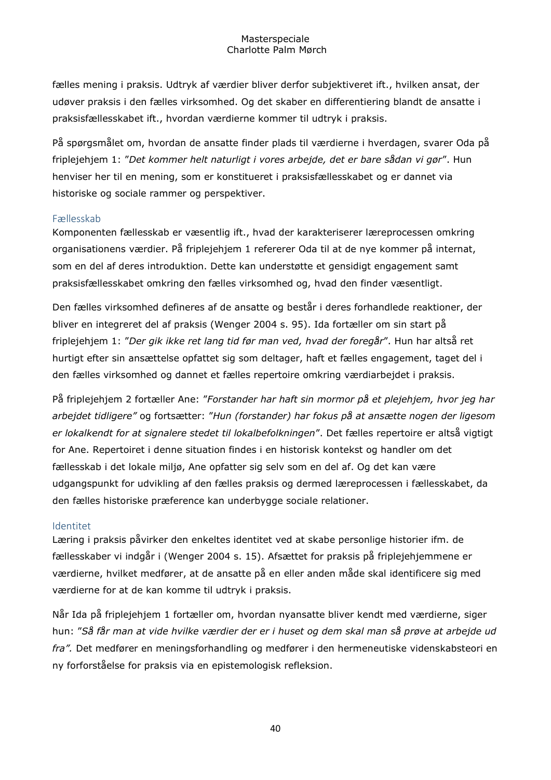fælles mening i praksis. Udtryk af værdier bliver derfor subjektiveret ift., hvilken ansat, der udøver praksis i den fælles virksomhed. Og det skaber en differentiering blandt de ansatte i praksisfællesskabet ift., hvordan værdierne kommer til udtryk i praksis.

På spørgsmålet om, hvordan de ansatte finder plads til værdierne i hverdagen, svarer Oda på friplejehjem 1: "*Det kommer helt naturligt i vores arbejde, det er bare sådan vi gør*". Hun henviser her til en mening, som er konstitueret i praksisfællesskabet og er dannet via historiske og sociale rammer og perspektiver.

#### <span id="page-40-0"></span>Fællesskab

Komponenten fællesskab er væsentlig ift., hvad der karakteriserer læreprocessen omkring organisationens værdier. På friplejehjem 1 refererer Oda til at de nye kommer på internat, som en del af deres introduktion. Dette kan understøtte et gensidigt engagement samt praksisfællesskabet omkring den fælles virksomhed og, hvad den finder væsentligt.

Den fælles virksomhed defineres af de ansatte og består i deres forhandlede reaktioner, der bliver en integreret del af praksis (Wenger 2004 s. 95). Ida fortæller om sin start på friplejehjem 1: "*Der gik ikke ret lang tid før man ved, hvad der foregår*". Hun har altså ret hurtigt efter sin ansættelse opfattet sig som deltager, haft et fælles engagement, taget del i den fælles virksomhed og dannet et fælles repertoire omkring værdiarbejdet i praksis.

På friplejehjem 2 fortæller Ane: "*Forstander har haft sin mormor på et plejehjem, hvor jeg har arbejdet tidligere"* og fortsætter: "*Hun (forstander) har fokus på at ansætte nogen der ligesom er lokalkendt for at signalere stedet til lokalbefolkningen*". Det fælles repertoire er altså vigtigt for Ane. Repertoiret i denne situation findes i en historisk kontekst og handler om det fællesskab i det lokale miljø, Ane opfatter sig selv som en del af. Og det kan være udgangspunkt for udvikling af den fælles praksis og dermed læreprocessen i fællesskabet, da den fælles historiske præference kan underbygge sociale relationer.

#### <span id="page-40-1"></span>Identitet

Læring i praksis påvirker den enkeltes identitet ved at skabe personlige historier ifm. de fællesskaber vi indgår i (Wenger 2004 s. 15). Afsættet for praksis på friplejehjemmene er værdierne, hvilket medfører, at de ansatte på en eller anden måde skal identificere sig med værdierne for at de kan komme til udtryk i praksis.

Når Ida på friplejehjem 1 fortæller om, hvordan nyansatte bliver kendt med værdierne, siger hun: "*Så får man at vide hvilke værdier der er i huset og dem skal man så prøve at arbejde ud fra".* Det medfører en meningsforhandling og medfører i den hermeneutiske videnskabsteori en ny forforståelse for praksis via en epistemologisk refleksion.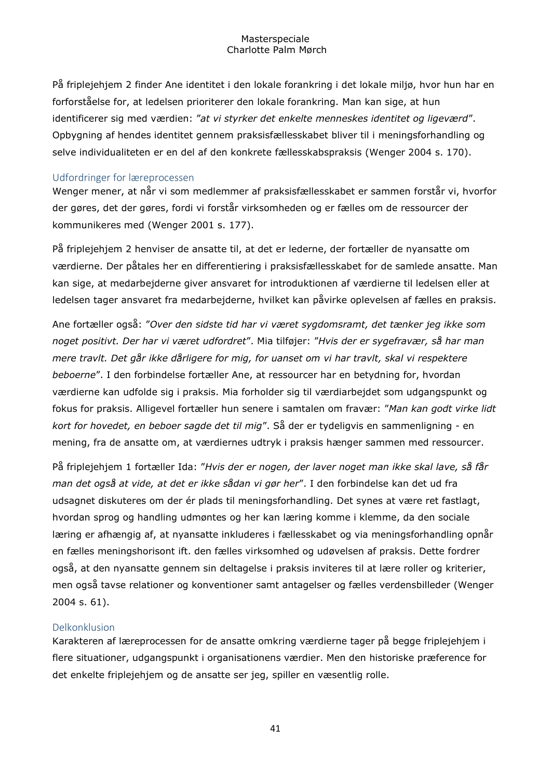På friplejehjem 2 finder Ane identitet i den lokale forankring i det lokale miljø, hvor hun har en forforståelse for, at ledelsen prioriterer den lokale forankring. Man kan sige, at hun identificerer sig med værdien: "*at vi styrker det enkelte menneskes identitet og ligeværd*". Opbygning af hendes identitet gennem praksisfællesskabet bliver til i meningsforhandling og selve individualiteten er en del af den konkrete fællesskabspraksis (Wenger 2004 s. 170).

#### <span id="page-41-0"></span>Udfordringer for læreprocessen

Wenger mener, at når vi som medlemmer af praksisfællesskabet er sammen forstår vi, hvorfor der gøres, det der gøres, fordi vi forstår virksomheden og er fælles om de ressourcer der kommunikeres med (Wenger 2001 s. 177).

På friplejehjem 2 henviser de ansatte til, at det er lederne, der fortæller de nyansatte om værdierne. Der påtales her en differentiering i praksisfællesskabet for de samlede ansatte. Man kan sige, at medarbejderne giver ansvaret for introduktionen af værdierne til ledelsen eller at ledelsen tager ansvaret fra medarbejderne, hvilket kan påvirke oplevelsen af fælles en praksis.

Ane fortæller også: "*Over den sidste tid har vi været sygdomsramt, det tænker jeg ikke som noget positivt. Der har vi været udfordret*". Mia tilføjer: "*Hvis der er sygefravær, så har man mere travlt. Det går ikke dårligere for mig, for uanset om vi har travlt, skal vi respektere beboerne*". I den forbindelse fortæller Ane, at ressourcer har en betydning for, hvordan værdierne kan udfolde sig i praksis. Mia forholder sig til værdiarbejdet som udgangspunkt og fokus for praksis. Alligevel fortæller hun senere i samtalen om fravær: "*Man kan godt virke lidt kort for hovedet, en beboer sagde det til mig*". Så der er tydeligvis en sammenligning - en mening, fra de ansatte om, at værdiernes udtryk i praksis hænger sammen med ressourcer.

På friplejehjem 1 fortæller Ida: "*Hvis der er nogen, der laver noget man ikke skal lave, så får man det også at vide, at det er ikke sådan vi gør her*". I den forbindelse kan det ud fra udsagnet diskuteres om der ér plads til meningsforhandling. Det synes at være ret fastlagt, hvordan sprog og handling udmøntes og her kan læring komme i klemme, da den sociale læring er afhængig af, at nyansatte inkluderes i fællesskabet og via meningsforhandling opnår en fælles meningshorisont ift. den fælles virksomhed og udøvelsen af praksis. Dette fordrer også, at den nyansatte gennem sin deltagelse i praksis inviteres til at lære roller og kriterier, men også tavse relationer og konventioner samt antagelser og fælles verdensbilleder (Wenger 2004 s. 61).

#### <span id="page-41-1"></span>Delkonklusion

Karakteren af læreprocessen for de ansatte omkring værdierne tager på begge friplejehjem i flere situationer, udgangspunkt i organisationens værdier. Men den historiske præference for det enkelte friplejehjem og de ansatte ser jeg, spiller en væsentlig rolle.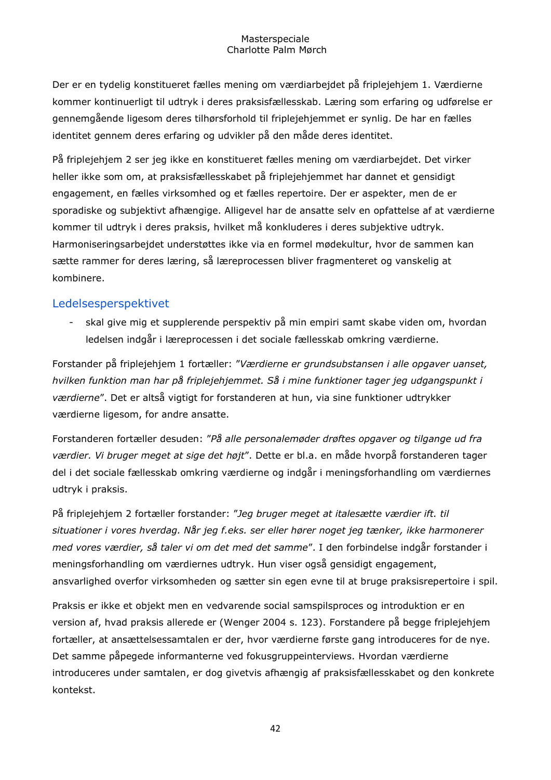Der er en tydelig konstitueret fælles mening om værdiarbejdet på friplejehjem 1. Værdierne kommer kontinuerligt til udtryk i deres praksisfællesskab. Læring som erfaring og udførelse er gennemgående ligesom deres tilhørsforhold til friplejehjemmet er synlig. De har en fælles identitet gennem deres erfaring og udvikler på den måde deres identitet.

På friplejehjem 2 ser jeg ikke en konstitueret fælles mening om værdiarbejdet. Det virker heller ikke som om, at praksisfællesskabet på friplejehjemmet har dannet et gensidigt engagement, en fælles virksomhed og et fælles repertoire. Der er aspekter, men de er sporadiske og subjektivt afhængige. Alligevel har de ansatte selv en opfattelse af at værdierne kommer til udtryk i deres praksis, hvilket må konkluderes i deres subjektive udtryk. Harmoniseringsarbejdet understøttes ikke via en formel mødekultur, hvor de sammen kan sætte rammer for deres læring, så læreprocessen bliver fragmenteret og vanskelig at kombinere.

## <span id="page-42-0"></span>Ledelsesperspektivet

skal give mig et supplerende perspektiv på min empiri samt skabe viden om, hvordan ledelsen indgår i læreprocessen i det sociale fællesskab omkring værdierne.

Forstander på friplejehjem 1 fortæller: "*Værdierne er grundsubstansen i alle opgaver uanset, hvilken funktion man har på friplejehjemmet. Så i mine funktioner tager jeg udgangspunkt i værdierne*". Det er altså vigtigt for forstanderen at hun, via sine funktioner udtrykker værdierne ligesom, for andre ansatte.

Forstanderen fortæller desuden: "*På alle personalemøder drøftes opgaver og tilgange ud fra værdier. Vi bruger meget at sige det højt*". Dette er bl.a. en måde hvorpå forstanderen tager del i det sociale fællesskab omkring værdierne og indgår i meningsforhandling om værdiernes udtryk i praksis.

På friplejehjem 2 fortæller forstander: "*Jeg bruger meget at italesætte værdier ift. til situationer i vores hverdag. Når jeg f.eks. ser eller hører noget jeg tænker, ikke harmonerer med vores værdier, så taler vi om det med det samme*". I den forbindelse indgår forstander i meningsforhandling om værdiernes udtryk. Hun viser også gensidigt engagement, ansvarlighed overfor virksomheden og sætter sin egen evne til at bruge praksisrepertoire i spil.

Praksis er ikke et objekt men en vedvarende social samspilsproces og introduktion er en version af, hvad praksis allerede er (Wenger 2004 s. 123). Forstandere på begge friplejehjem fortæller, at ansættelsessamtalen er der, hvor værdierne første gang introduceres for de nye. Det samme påpegede informanterne ved fokusgruppeinterviews. Hvordan værdierne introduceres under samtalen, er dog givetvis afhængig af praksisfællesskabet og den konkrete kontekst.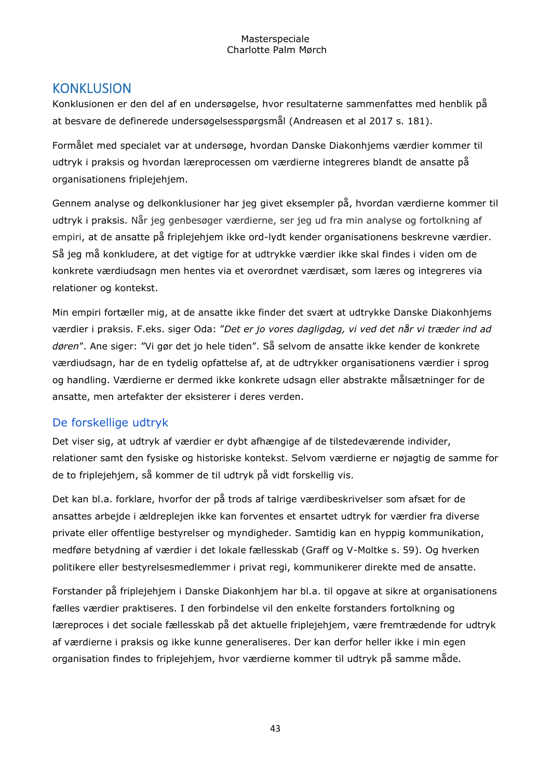## <span id="page-43-0"></span>**KONKLUSION**

Konklusionen er den del af en undersøgelse, hvor resultaterne sammenfattes med henblik på at besvare de definerede undersøgelsesspørgsmål (Andreasen et al 2017 s. 181).

Formålet med specialet var at undersøge, hvordan Danske Diakonhjems værdier kommer til udtryk i praksis og hvordan læreprocessen om værdierne integreres blandt de ansatte på organisationens friplejehjem.

Gennem analyse og delkonklusioner har jeg givet eksempler på, hvordan værdierne kommer til udtryk i praksis. Når jeg genbesøger værdierne, ser jeg ud fra min analyse og fortolkning af empiri, at de ansatte på friplejehjem ikke ord-lydt kender organisationens beskrevne værdier. Så jeg må konkludere, at det vigtige for at udtrykke værdier ikke skal findes i viden om de konkrete værdiudsagn men hentes via et overordnet værdisæt, som læres og integreres via relationer og kontekst.

Min empiri fortæller mig, at de ansatte ikke finder det svært at udtrykke Danske Diakonhjems værdier i praksis. F.eks. siger Oda: "*Det er jo vores dagligdag, vi ved det når vi træder ind ad døren*". Ane siger: "Vi gør det jo hele tiden". Så selvom de ansatte ikke kender de konkrete værdiudsagn, har de en tydelig opfattelse af, at de udtrykker organisationens værdier i sprog og handling. Værdierne er dermed ikke konkrete udsagn eller abstrakte målsætninger for de ansatte, men artefakter der eksisterer i deres verden.

## <span id="page-43-1"></span>De forskellige udtryk

Det viser sig, at udtryk af værdier er dybt afhængige af de tilstedeværende individer, relationer samt den fysiske og historiske kontekst. Selvom værdierne er nøjagtig de samme for de to friplejehjem, så kommer de til udtryk på vidt forskellig vis.

Det kan bl.a. forklare, hvorfor der på trods af talrige værdibeskrivelser som afsæt for de ansattes arbejde i ældreplejen ikke kan forventes et ensartet udtryk for værdier fra diverse private eller offentlige bestyrelser og myndigheder. Samtidig kan en hyppig kommunikation, medføre betydning af værdier i det lokale fællesskab (Graff og V-Moltke s. 59). Og hverken politikere eller bestyrelsesmedlemmer i privat regi, kommunikerer direkte med de ansatte.

Forstander på friplejehjem i Danske Diakonhjem har bl.a. til opgave at sikre at organisationens fælles værdier praktiseres. I den forbindelse vil den enkelte forstanders fortolkning og læreproces i det sociale fællesskab på det aktuelle friplejehjem, være fremtrædende for udtryk af værdierne i praksis og ikke kunne generaliseres. Der kan derfor heller ikke i min egen organisation findes to friplejehjem, hvor værdierne kommer til udtryk på samme måde.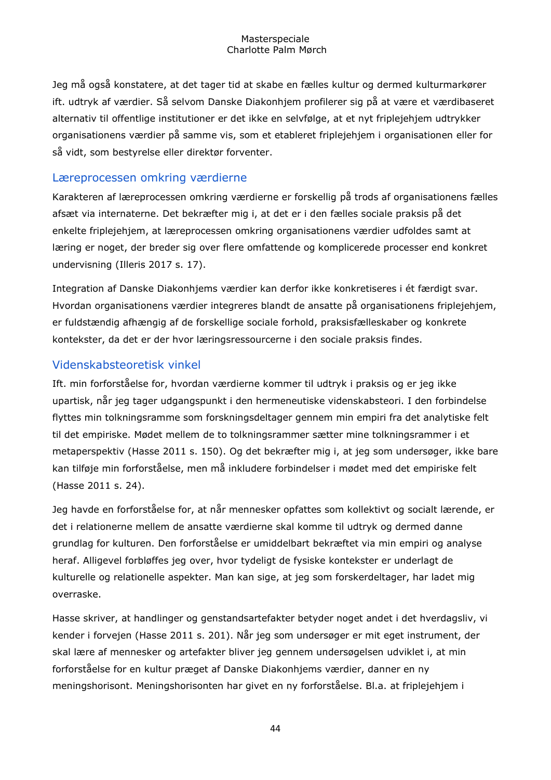Jeg må også konstatere, at det tager tid at skabe en fælles kultur og dermed kulturmarkører ift. udtryk af værdier. Så selvom Danske Diakonhjem profilerer sig på at være et værdibaseret alternativ til offentlige institutioner er det ikke en selvfølge, at et nyt friplejehjem udtrykker organisationens værdier på samme vis, som et etableret friplejehjem i organisationen eller for så vidt, som bestyrelse eller direktør forventer.

#### <span id="page-44-0"></span>Læreprocessen omkring værdierne

Karakteren af læreprocessen omkring værdierne er forskellig på trods af organisationens fælles afsæt via internaterne. Det bekræfter mig i, at det er i den fælles sociale praksis på det enkelte friplejehjem, at læreprocessen omkring organisationens værdier udfoldes samt at læring er noget, der breder sig over flere omfattende og komplicerede processer end konkret undervisning (Illeris 2017 s. 17).

Integration af Danske Diakonhjems værdier kan derfor ikke konkretiseres i ét færdigt svar. Hvordan organisationens værdier integreres blandt de ansatte på organisationens friplejehjem, er fuldstændig afhængig af de forskellige sociale forhold, praksisfælleskaber og konkrete kontekster, da det er der hvor læringsressourcerne i den sociale praksis findes.

#### <span id="page-44-1"></span>Videnskabsteoretisk vinkel

Ift. min forforståelse for, hvordan værdierne kommer til udtryk i praksis og er jeg ikke upartisk, når jeg tager udgangspunkt i den hermeneutiske videnskabsteori. I den forbindelse flyttes min tolkningsramme som forskningsdeltager gennem min empiri fra det analytiske felt til det empiriske. Mødet mellem de to tolkningsrammer sætter mine tolkningsrammer i et metaperspektiv (Hasse 2011 s. 150). Og det bekræfter mig i, at jeg som undersøger, ikke bare kan tilføje min forforståelse, men må inkludere forbindelser i mødet med det empiriske felt (Hasse 2011 s. 24).

Jeg havde en forforståelse for, at når mennesker opfattes som kollektivt og socialt lærende, er det i relationerne mellem de ansatte værdierne skal komme til udtryk og dermed danne grundlag for kulturen. Den forforståelse er umiddelbart bekræftet via min empiri og analyse heraf. Alligevel forbløffes jeg over, hvor tydeligt de fysiske kontekster er underlagt de kulturelle og relationelle aspekter. Man kan sige, at jeg som forskerdeltager, har ladet mig overraske.

Hasse skriver, at handlinger og genstandsartefakter betyder noget andet i det hverdagsliv, vi kender i forvejen (Hasse 2011 s. 201). Når jeg som undersøger er mit eget instrument, der skal lære af mennesker og artefakter bliver jeg gennem undersøgelsen udviklet i, at min forforståelse for en kultur præget af Danske Diakonhjems værdier, danner en ny meningshorisont. Meningshorisonten har givet en ny forforståelse. Bl.a. at friplejehjem i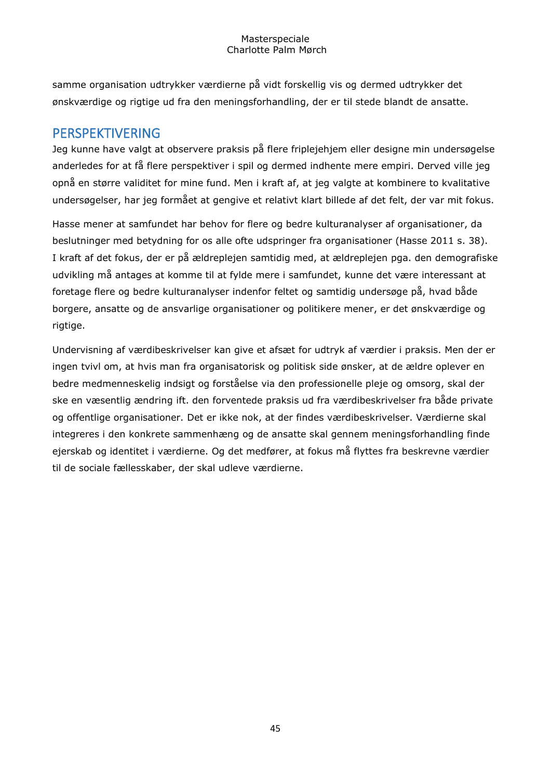samme organisation udtrykker værdierne på vidt forskellig vis og dermed udtrykker det ønskværdige og rigtige ud fra den meningsforhandling, der er til stede blandt de ansatte.

## <span id="page-45-0"></span>PERSPEKTIVERING

Jeg kunne have valgt at observere praksis på flere friplejehjem eller designe min undersøgelse anderledes for at få flere perspektiver i spil og dermed indhente mere empiri. Derved ville jeg opnå en større validitet for mine fund. Men i kraft af, at jeg valgte at kombinere to kvalitative undersøgelser, har jeg formået at gengive et relativt klart billede af det felt, der var mit fokus.

Hasse mener at samfundet har behov for flere og bedre kulturanalyser af organisationer, da beslutninger med betydning for os alle ofte udspringer fra organisationer (Hasse 2011 s. 38). I kraft af det fokus, der er på ældreplejen samtidig med, at ældreplejen pga. den demografiske udvikling må antages at komme til at fylde mere i samfundet, kunne det være interessant at foretage flere og bedre kulturanalyser indenfor feltet og samtidig undersøge på, hvad både borgere, ansatte og de ansvarlige organisationer og politikere mener, er det ønskværdige og rigtige.

Undervisning af værdibeskrivelser kan give et afsæt for udtryk af værdier i praksis. Men der er ingen tvivl om, at hvis man fra organisatorisk og politisk side ønsker, at de ældre oplever en bedre medmenneskelig indsigt og forståelse via den professionelle pleje og omsorg, skal der ske en væsentlig ændring ift. den forventede praksis ud fra værdibeskrivelser fra både private og offentlige organisationer. Det er ikke nok, at der findes værdibeskrivelser. Værdierne skal integreres i den konkrete sammenhæng og de ansatte skal gennem meningsforhandling finde ejerskab og identitet i værdierne. Og det medfører, at fokus må flyttes fra beskrevne værdier til de sociale fællesskaber, der skal udleve værdierne.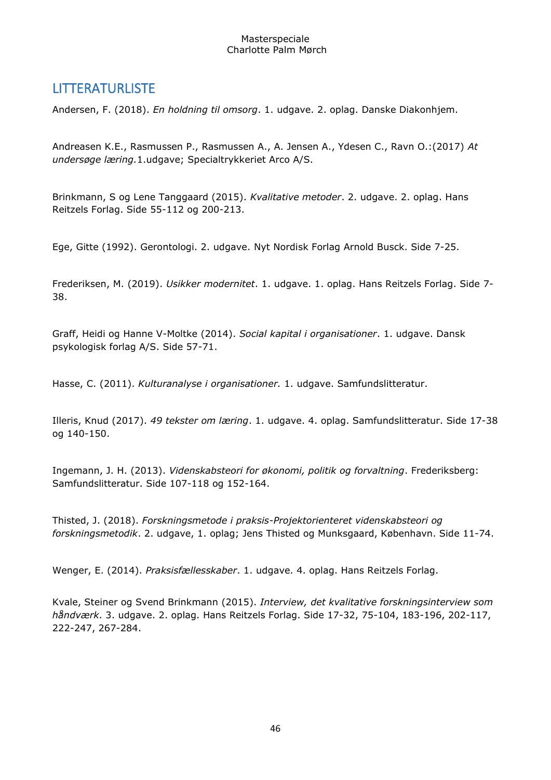## <span id="page-46-0"></span>**LITTERATURLISTE**

Andersen, F. (2018). *En holdning til omsorg*. 1. udgave. 2. oplag. Danske Diakonhjem.

Andreasen K.E., Rasmussen P., Rasmussen A., A. Jensen A., Ydesen C., Ravn O.:(2017) *At undersøge læring.*1.udgave; Specialtrykkeriet Arco A/S.

Brinkmann, S og Lene Tanggaard (2015). *Kvalitative metoder*. 2. udgave. 2. oplag. Hans Reitzels Forlag. Side 55-112 og 200-213.

Ege, Gitte (1992). Gerontologi. 2. udgave. Nyt Nordisk Forlag Arnold Busck. Side 7-25.

Frederiksen, M. (2019). *Usikker modernitet*. 1. udgave. 1. oplag. Hans Reitzels Forlag. Side 7- 38.

Graff, Heidi og Hanne V-Moltke (2014). *Social kapital i organisationer*. 1. udgave. Dansk psykologisk forlag A/S. Side 57-71.

Hasse, C. (2011). *Kulturanalyse i organisationer.* 1. udgave. Samfundslitteratur.

Illeris, Knud (2017). *49 tekster om læring*. 1. udgave. 4. oplag. Samfundslitteratur. Side 17-38 og 140-150.

Ingemann, J. H. (2013). *Videnskabsteori for økonomi, politik og forvaltning*. Frederiksberg: Samfundslitteratur. Side 107-118 og 152-164.

Thisted, J. (2018). *Forskningsmetode i praksis-Projektorienteret videnskabsteori og forskningsmetodik*. 2. udgave, 1. oplag; Jens Thisted og Munksgaard, København. Side 11-74.

Wenger, E. (2014). *Praksisfællesskaber*. 1. udgave. 4. oplag. Hans Reitzels Forlag.

Kvale, Steiner og Svend Brinkmann (2015). *Interview, det kvalitative forskningsinterview som håndværk*. 3. udgave. 2. oplag. Hans Reitzels Forlag. Side 17-32, 75-104, 183-196, 202-117, 222-247, 267-284.